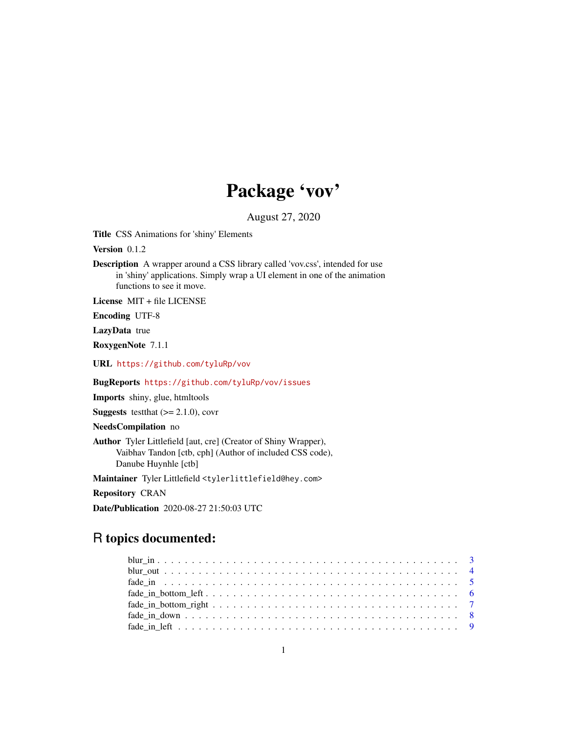# Package 'vov'

August 27, 2020

Title CSS Animations for 'shiny' Elements

Version 0.1.2

Description A wrapper around a CSS library called 'vov.css', intended for use in 'shiny' applications. Simply wrap a UI element in one of the animation functions to see it move.

License MIT + file LICENSE

Encoding UTF-8

LazyData true

RoxygenNote 7.1.1

URL <https://github.com/tyluRp/vov>

BugReports <https://github.com/tyluRp/vov/issues>

Imports shiny, glue, htmltools

**Suggests** test that  $(>= 2.1.0)$ , covr

NeedsCompilation no

Author Tyler Littlefield [aut, cre] (Creator of Shiny Wrapper), Vaibhav Tandon [ctb, cph] (Author of included CSS code), Danube Huynhle [ctb]

Maintainer Tyler Littlefield <tylerlittlefield@hey.com>

Repository CRAN

Date/Publication 2020-08-27 21:50:03 UTC

# R topics documented: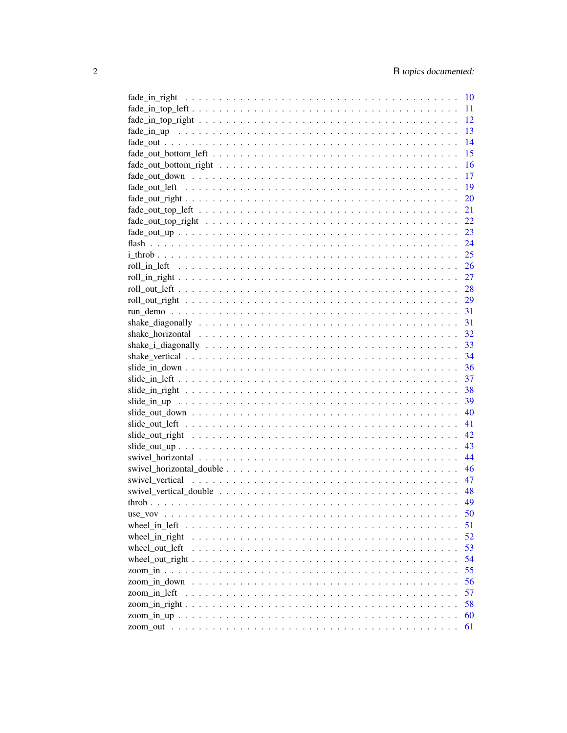|                                                                                                                          | 10 |
|--------------------------------------------------------------------------------------------------------------------------|----|
|                                                                                                                          | 11 |
| $\text{fade\_in\_top\_right} \ldots \ldots \ldots \ldots \ldots \ldots \ldots \ldots \ldots \ldots \ldots \ldots \ldots$ | 12 |
|                                                                                                                          | 13 |
|                                                                                                                          | 14 |
|                                                                                                                          | 15 |
|                                                                                                                          | 16 |
|                                                                                                                          | 17 |
|                                                                                                                          | 19 |
|                                                                                                                          | 20 |
|                                                                                                                          | 21 |
|                                                                                                                          | 22 |
|                                                                                                                          | 23 |
|                                                                                                                          |    |
|                                                                                                                          |    |
|                                                                                                                          |    |
|                                                                                                                          |    |
|                                                                                                                          |    |
|                                                                                                                          |    |
|                                                                                                                          |    |
|                                                                                                                          |    |
|                                                                                                                          |    |
|                                                                                                                          |    |
|                                                                                                                          |    |
|                                                                                                                          |    |
|                                                                                                                          | 37 |
|                                                                                                                          | 38 |
|                                                                                                                          | 39 |
|                                                                                                                          | 40 |
|                                                                                                                          | 41 |
|                                                                                                                          | 42 |
|                                                                                                                          | 43 |
|                                                                                                                          | 44 |
|                                                                                                                          | 46 |
|                                                                                                                          | 47 |
|                                                                                                                          | 48 |
|                                                                                                                          | 49 |
|                                                                                                                          |    |
|                                                                                                                          | 50 |
| wheel in left $\dots$ .                                                                                                  | 51 |
| wheel_in_right                                                                                                           | 52 |
| wheel out left                                                                                                           | 53 |
|                                                                                                                          | 54 |
|                                                                                                                          | 55 |
|                                                                                                                          | 56 |
| zoom_in_left                                                                                                             | 57 |
|                                                                                                                          | 58 |
|                                                                                                                          | 60 |
|                                                                                                                          | 61 |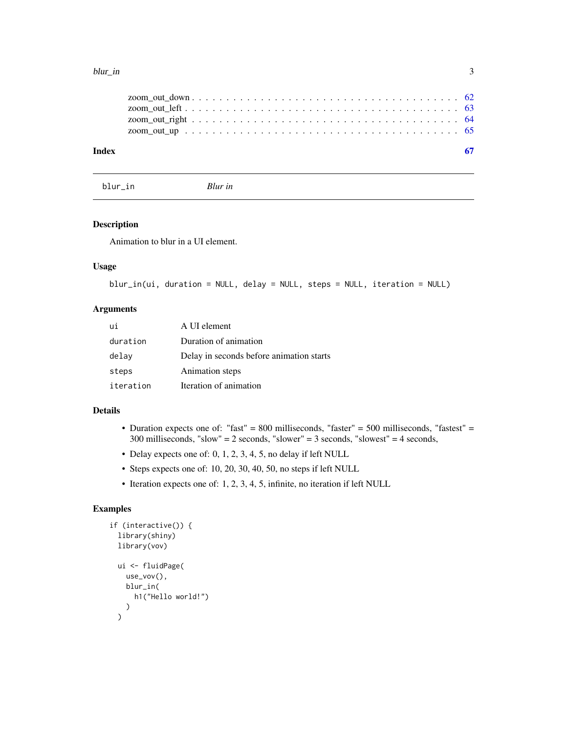#### <span id="page-2-0"></span>blur\_in 3

| Index |  |
|-------|--|
|       |  |
|       |  |
|       |  |
|       |  |
|       |  |

blur\_in *Blur in*

# Description

Animation to blur in a UI element.

#### Usage

blur\_in(ui, duration = NULL, delay = NULL, steps = NULL, iteration = NULL)

# Arguments

| ui        | A UI element                             |
|-----------|------------------------------------------|
| duration  | Duration of animation                    |
| delay     | Delay in seconds before animation starts |
| steps     | Animation steps                          |
| iteration | Iteration of animation                   |

#### Details

- Duration expects one of: "fast" = 800 milliseconds, "faster" = 500 milliseconds, "fastest" = 300 milliseconds, "slow" = 2 seconds, "slower" = 3 seconds, "slowest" = 4 seconds,
- Delay expects one of: 0, 1, 2, 3, 4, 5, no delay if left NULL
- Steps expects one of: 10, 20, 30, 40, 50, no steps if left NULL
- Iteration expects one of: 1, 2, 3, 4, 5, infinite, no iteration if left NULL

```
if (interactive()) {
  library(shiny)
  library(vov)
  ui <- fluidPage(
    use_vov(),
    blur_in(
      h1("Hello world!")
    )
  \mathcal{L}
```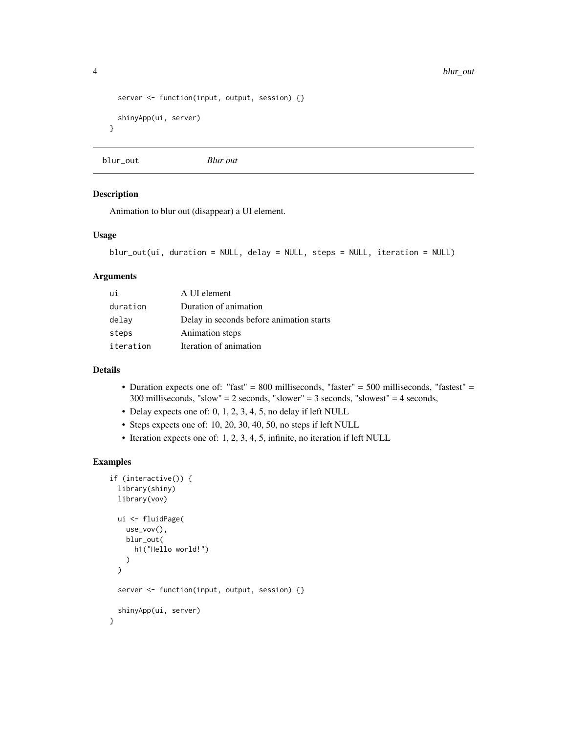```
server <- function(input, output, session) {}
 shinyApp(ui, server)
}
```
blur\_out *Blur out*

#### Description

Animation to blur out (disappear) a UI element.

# Usage

```
blur_out(ui, duration = NULL, delay = NULL, steps = NULL, iteration = NULL)
```
#### Arguments

| шi        | A UI element                             |
|-----------|------------------------------------------|
| duration  | Duration of animation                    |
| delay     | Delay in seconds before animation starts |
| steps     | Animation steps                          |
| iteration | Iteration of animation                   |

# Details

- Duration expects one of: "fast" = 800 milliseconds, "faster" = 500 milliseconds, "fastest" = 300 milliseconds, "slow" = 2 seconds, "slower" = 3 seconds, "slowest" = 4 seconds,
- Delay expects one of: 0, 1, 2, 3, 4, 5, no delay if left NULL
- Steps expects one of: 10, 20, 30, 40, 50, no steps if left NULL
- Iteration expects one of: 1, 2, 3, 4, 5, infinite, no iteration if left NULL

```
if (interactive()) {
 library(shiny)
 library(vov)
 ui <- fluidPage(
   use_vov(),
   blur_out(
      h1("Hello world!")
   )
 \mathcal{L}server <- function(input, output, session) {}
 shinyApp(ui, server)
}
```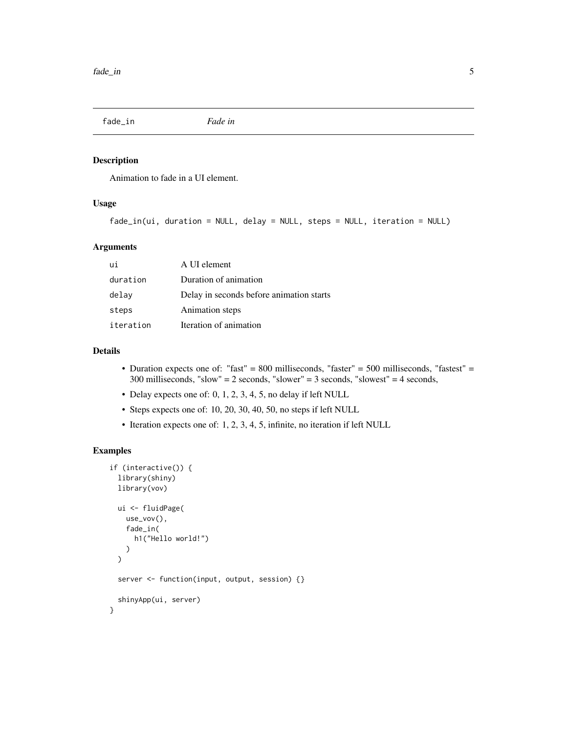<span id="page-4-0"></span>fade\_in *Fade in*

#### Description

Animation to fade in a UI element.

# Usage

fade\_in(ui, duration = NULL, delay = NULL, steps = NULL, iteration = NULL)

# Arguments

| ui        | A UI element                             |
|-----------|------------------------------------------|
| duration  | Duration of animation                    |
| delay     | Delay in seconds before animation starts |
| steps     | Animation steps                          |
| iteration | Iteration of animation                   |

# Details

- Duration expects one of: "fast" = 800 milliseconds, "faster" = 500 milliseconds, "fastest" = 300 milliseconds, "slow" = 2 seconds, "slower" = 3 seconds, "slowest" = 4 seconds,
- Delay expects one of: 0, 1, 2, 3, 4, 5, no delay if left NULL
- Steps expects one of: 10, 20, 30, 40, 50, no steps if left NULL
- Iteration expects one of: 1, 2, 3, 4, 5, infinite, no iteration if left NULL

```
if (interactive()) {
 library(shiny)
 library(vov)
 ui <- fluidPage(
   use_vov(),
   fade_in(
     h1("Hello world!")
   )
 )
 server <- function(input, output, session) {}
 shinyApp(ui, server)
}
```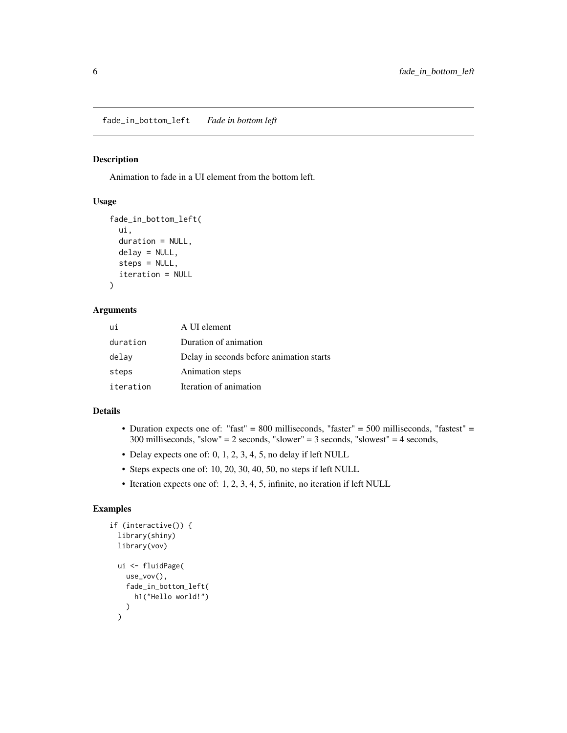<span id="page-5-0"></span>fade\_in\_bottom\_left *Fade in bottom left*

#### Description

Animation to fade in a UI element from the bottom left.

# Usage

```
fade_in_bottom_left(
 ui,
  duration = NULL,
 delay = NULL,
  steps = NULL,
  iteration = NULL
)
```
#### Arguments

| ui        | A UI element                             |
|-----------|------------------------------------------|
| duration  | Duration of animation                    |
| delay     | Delay in seconds before animation starts |
| steps     | Animation steps                          |
| iteration | Iteration of animation                   |

#### Details

- Duration expects one of: "fast" = 800 milliseconds, "faster" = 500 milliseconds, "fastest" = 300 milliseconds, "slow" = 2 seconds, "slower" = 3 seconds, "slowest" = 4 seconds,
- Delay expects one of: 0, 1, 2, 3, 4, 5, no delay if left NULL
- Steps expects one of: 10, 20, 30, 40, 50, no steps if left NULL
- Iteration expects one of: 1, 2, 3, 4, 5, infinite, no iteration if left NULL

```
if (interactive()) {
  library(shiny)
  library(vov)
  ui <- fluidPage(
    use_vov(),
    fade_in_bottom_left(
      h1("Hello world!")
    )
  \mathcal{L}
```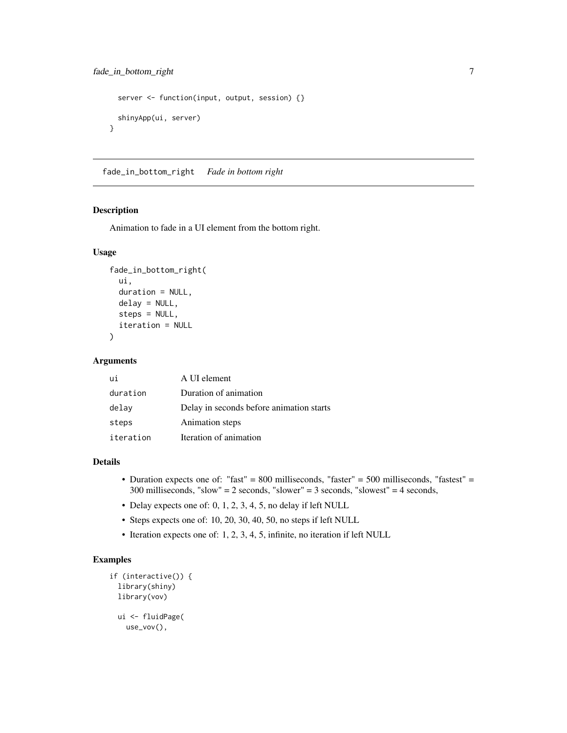```
server <- function(input, output, session) {}
 shinyApp(ui, server)
}
```
fade\_in\_bottom\_right *Fade in bottom right*

#### Description

Animation to fade in a UI element from the bottom right.

#### Usage

```
fade_in_bottom_right(
  ui,
  duration = NULL,
  delay = NULL,
  steps = NULL,
  iteration = NULL
)
```
#### Arguments

| ui        | A UI element                             |
|-----------|------------------------------------------|
| duration  | Duration of animation                    |
| delay     | Delay in seconds before animation starts |
| steps     | Animation steps                          |
| iteration | Iteration of animation                   |

#### Details

- Duration expects one of: "fast" = 800 milliseconds, "faster" = 500 milliseconds, "fastest" = 300 milliseconds, "slow" = 2 seconds, "slower" = 3 seconds, "slowest" = 4 seconds,
- Delay expects one of: 0, 1, 2, 3, 4, 5, no delay if left NULL
- Steps expects one of: 10, 20, 30, 40, 50, no steps if left NULL
- Iteration expects one of: 1, 2, 3, 4, 5, infinite, no iteration if left NULL

```
if (interactive()) {
 library(shiny)
 library(vov)
 ui <- fluidPage(
   use_vov(),
```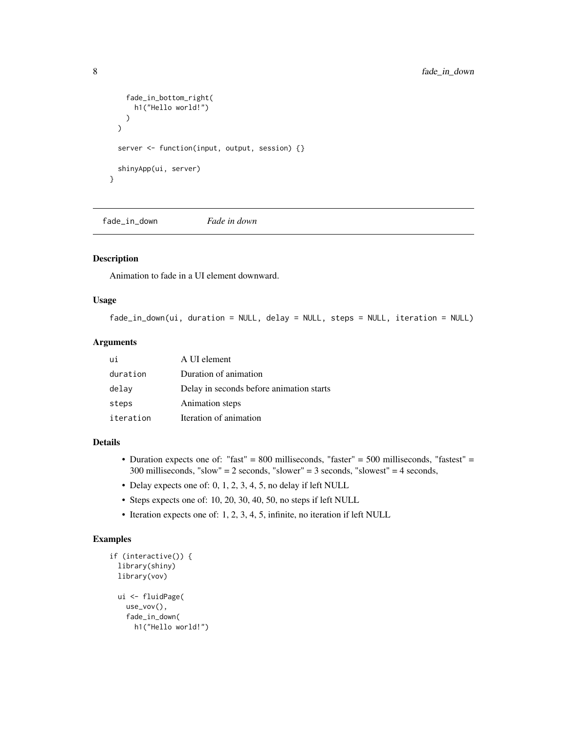```
fade_in_bottom_right(
      h1("Hello world!")
   )
 \lambdaserver <- function(input, output, session) {}
 shinyApp(ui, server)
}
```
fade\_in\_down *Fade in down*

# Description

Animation to fade in a UI element downward.

# Usage

```
fade_in_down(ui, duration = NULL, delay = NULL, steps = NULL, iteration = NULL)
```
#### Arguments

| ui        | A UI element                             |
|-----------|------------------------------------------|
| duration  | Duration of animation                    |
| delay     | Delay in seconds before animation starts |
| steps     | Animation steps                          |
| iteration | Iteration of animation                   |

#### Details

- Duration expects one of: "fast" = 800 milliseconds, "faster" = 500 milliseconds, "fastest" = 300 milliseconds, "slow" = 2 seconds, "slower" = 3 seconds, "slowest" = 4 seconds,
- Delay expects one of: 0, 1, 2, 3, 4, 5, no delay if left NULL
- Steps expects one of: 10, 20, 30, 40, 50, no steps if left NULL
- Iteration expects one of: 1, 2, 3, 4, 5, infinite, no iteration if left NULL

```
if (interactive()) {
 library(shiny)
 library(vov)
 ui <- fluidPage(
   use_vov(),
   fade_in_down(
     h1("Hello world!")
```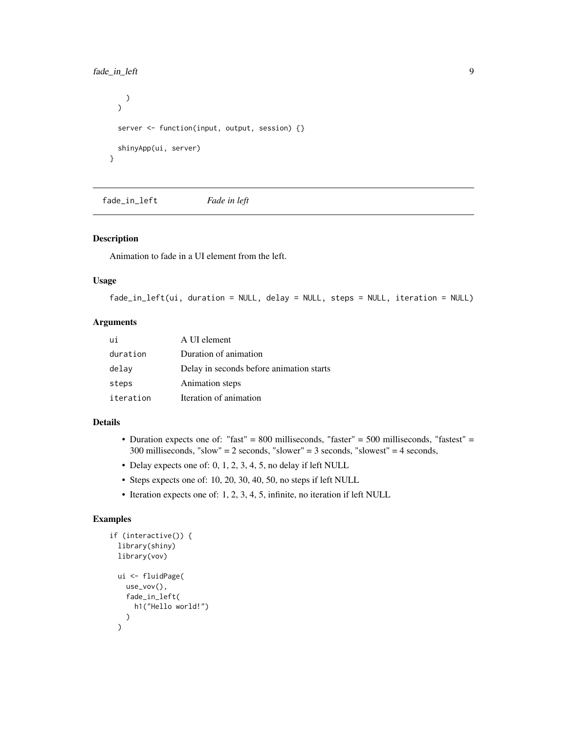# <span id="page-8-0"></span>fade\_in\_left 9

```
)
  \lambdaserver <- function(input, output, session) {}
  shinyApp(ui, server)
}
```
fade\_in\_left *Fade in left*

# Description

Animation to fade in a UI element from the left.

### Usage

fade\_in\_left(ui, duration = NULL, delay = NULL, steps = NULL, iteration = NULL)

# Arguments

| ui        | A UI element                             |
|-----------|------------------------------------------|
| duration  | Duration of animation                    |
| delay     | Delay in seconds before animation starts |
| steps     | Animation steps                          |
| iteration | Iteration of animation                   |

#### Details

- Duration expects one of: "fast" = 800 milliseconds, "faster" = 500 milliseconds, "fastest" = 300 milliseconds, "slow" = 2 seconds, "slower" = 3 seconds, "slowest" = 4 seconds,
- Delay expects one of: 0, 1, 2, 3, 4, 5, no delay if left NULL
- Steps expects one of: 10, 20, 30, 40, 50, no steps if left NULL
- Iteration expects one of: 1, 2, 3, 4, 5, infinite, no iteration if left NULL

```
if (interactive()) {
  library(shiny)
  library(vov)
  ui <- fluidPage(
    use_vov(),
    fade_in_left(
      h1("Hello world!")
    )
  \mathcal{L}
```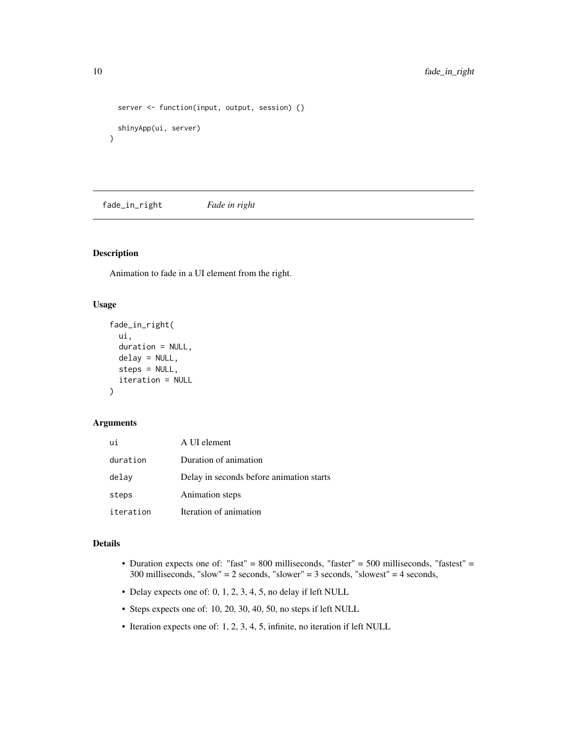```
server <- function(input, output, session) {}
 shinyApp(ui, server)
}
```
fade\_in\_right *Fade in right*

# Description

Animation to fade in a UI element from the right.

# Usage

```
fade_in_right(
  ui,
  duration = NULL,
 delay = NULL,
  steps = NULL,
  iteration = NULL
)
```
#### Arguments

| ui        | A UI element                             |
|-----------|------------------------------------------|
| duration  | Duration of animation                    |
| delav     | Delay in seconds before animation starts |
| steps     | Animation steps                          |
| iteration | Iteration of animation                   |

# Details

- Duration expects one of: "fast" = 800 milliseconds, "faster" = 500 milliseconds, "fastest" = 300 milliseconds, "slow" = 2 seconds, "slower" = 3 seconds, "slowest" = 4 seconds,
- Delay expects one of: 0, 1, 2, 3, 4, 5, no delay if left NULL
- Steps expects one of: 10, 20, 30, 40, 50, no steps if left NULL
- Iteration expects one of: 1, 2, 3, 4, 5, infinite, no iteration if left NULL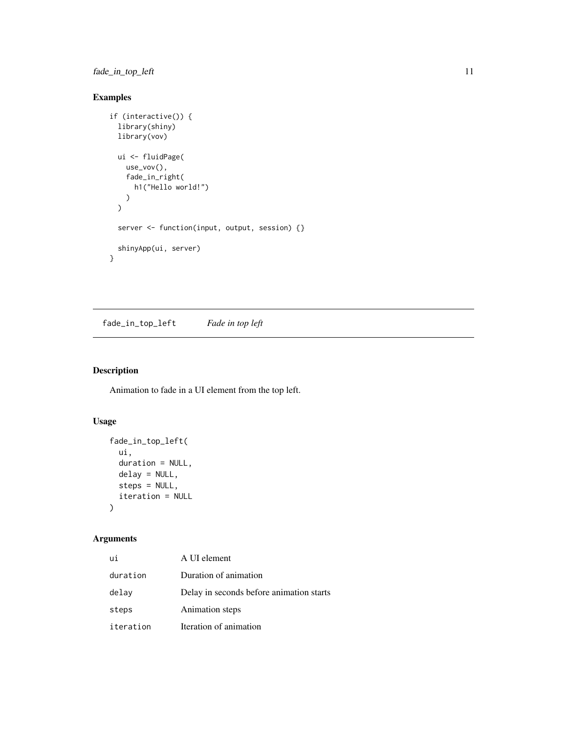<span id="page-10-0"></span>fade\_in\_top\_left 11

# Examples

```
if (interactive()) {
  library(shiny)
  library(vov)
 ui <- fluidPage(
    use_vov(),
    fade_in_right(
      h1("Hello world!")
    )
  \mathcal{L}server <- function(input, output, session) {}
  shinyApp(ui, server)
}
```
fade\_in\_top\_left *Fade in top left*

# Description

Animation to fade in a UI element from the top left.

# Usage

```
fade_in_top_left(
  ui,
  duration = NULL,
  delay = NULL,
  steps = NULL,
  iteration = NULL
\mathcal{L}
```

| ui        | A UI element                             |
|-----------|------------------------------------------|
| duration  | Duration of animation                    |
| delay     | Delay in seconds before animation starts |
| steps     | Animation steps                          |
| iteration | Iteration of animation                   |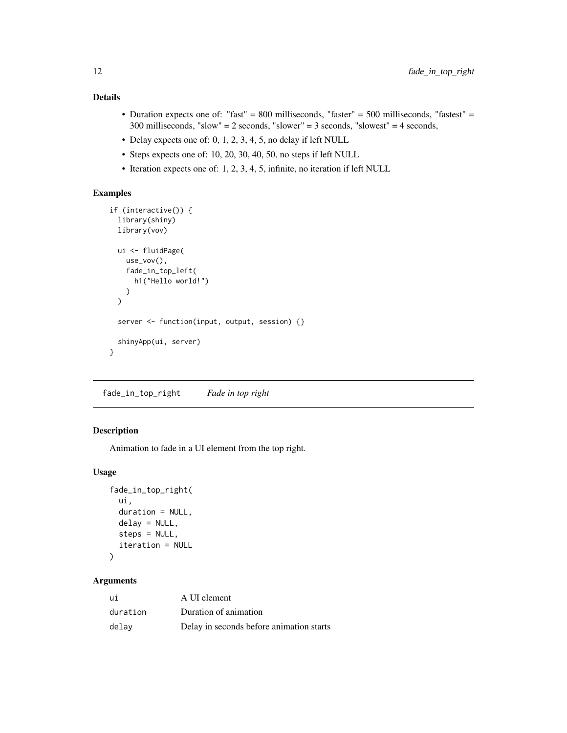- <span id="page-11-0"></span>• Duration expects one of: "fast" = 800 milliseconds, "faster" = 500 milliseconds, "fastest" = 300 milliseconds, "slow" = 2 seconds, "slower" = 3 seconds, "slowest" = 4 seconds,
- Delay expects one of: 0, 1, 2, 3, 4, 5, no delay if left NULL
- Steps expects one of: 10, 20, 30, 40, 50, no steps if left NULL
- Iteration expects one of: 1, 2, 3, 4, 5, infinite, no iteration if left NULL

# Examples

```
if (interactive()) {
 library(shiny)
 library(vov)
 ui <- fluidPage(
   use_vov(),
    fade_in_top_left(
      h1("Hello world!")
   )
 \mathcal{L}server <- function(input, output, session) {}
 shinyApp(ui, server)
}
```
fade\_in\_top\_right *Fade in top right*

# Description

Animation to fade in a UI element from the top right.

# Usage

```
fade_in_top_right(
 ui,
  duration = NULL,
 delay = NULL,
  steps = NULL,
  iteration = NULL
)
```

| ui       | A UI element                             |
|----------|------------------------------------------|
| duration | Duration of animation                    |
| delav    | Delay in seconds before animation starts |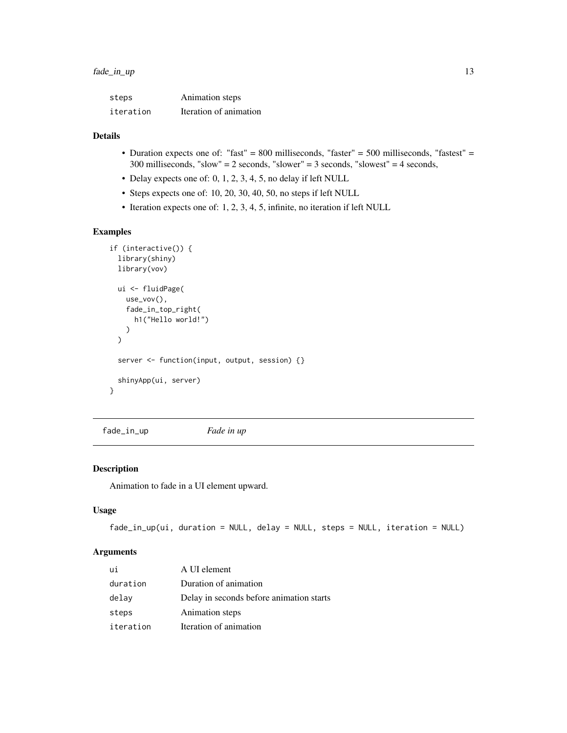<span id="page-12-0"></span>

| steps     | Animation steps        |
|-----------|------------------------|
| iteration | Iteration of animation |

- Duration expects one of: "fast" = 800 milliseconds, "faster" = 500 milliseconds, "fastest" = 300 milliseconds, "slow" = 2 seconds, "slower" = 3 seconds, "slowest" = 4 seconds,
- Delay expects one of: 0, 1, 2, 3, 4, 5, no delay if left NULL
- Steps expects one of: 10, 20, 30, 40, 50, no steps if left NULL
- Iteration expects one of: 1, 2, 3, 4, 5, infinite, no iteration if left NULL

#### Examples

```
if (interactive()) {
 library(shiny)
 library(vov)
 ui <- fluidPage(
   use_vov(),
    fade_in_top_right(
      h1("Hello world!")
   )
 \lambdaserver <- function(input, output, session) {}
 shinyApp(ui, server)
}
```
fade\_in\_up *Fade in up*

# Description

Animation to fade in a UI element upward.

# Usage

```
fade_in_up(ui, duration = NULL, delay = NULL, steps = NULL, iteration = NULL)
```

| ui        | A UI element                             |
|-----------|------------------------------------------|
| duration  | Duration of animation                    |
| delay     | Delay in seconds before animation starts |
| steps     | Animation steps                          |
| iteration | Iteration of animation                   |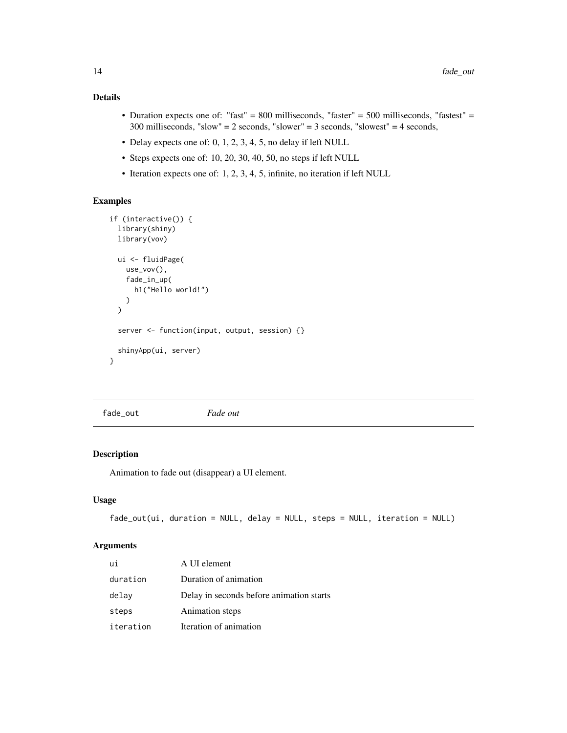- <span id="page-13-0"></span>• Duration expects one of: "fast" = 800 milliseconds, "faster" = 500 milliseconds, "fastest" = 300 milliseconds, "slow" = 2 seconds, "slower" = 3 seconds, "slowest" = 4 seconds,
- Delay expects one of: 0, 1, 2, 3, 4, 5, no delay if left NULL
- Steps expects one of: 10, 20, 30, 40, 50, no steps if left NULL
- Iteration expects one of: 1, 2, 3, 4, 5, infinite, no iteration if left NULL

# Examples

```
if (interactive()) {
 library(shiny)
 library(vov)
 ui <- fluidPage(
   use_vov(),
    fade_in_up(
      h1("Hello world!")
    )
 \mathcal{L}server <- function(input, output, session) {}
 shinyApp(ui, server)
}
```
fade\_out *Fade out*

#### Description

Animation to fade out (disappear) a UI element.

# Usage

```
fade_out(ui, duration = NULL, delay = NULL, steps = NULL, iteration = NULL)
```

| ui        | A UI element                             |
|-----------|------------------------------------------|
| duration  | Duration of animation                    |
| delay     | Delay in seconds before animation starts |
| steps     | Animation steps                          |
| iteration | Iteration of animation                   |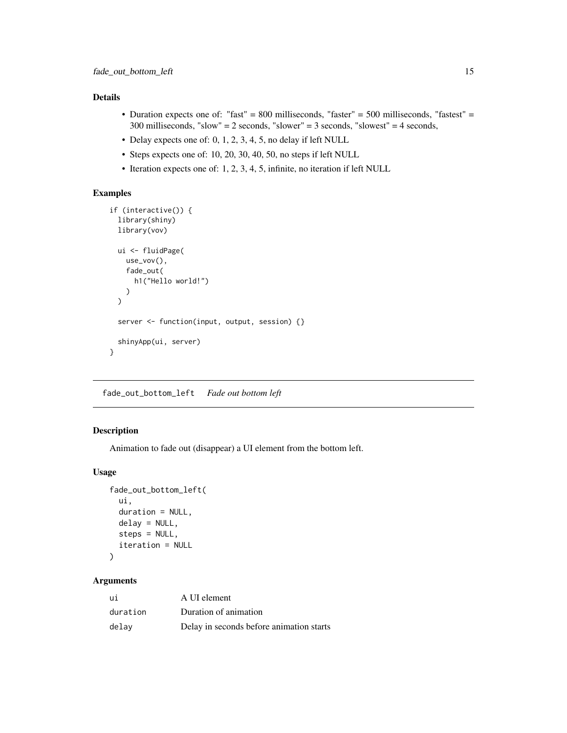- <span id="page-14-0"></span>• Duration expects one of: "fast" = 800 milliseconds, "faster" = 500 milliseconds, "fastest" = 300 milliseconds, "slow" = 2 seconds, "slower" = 3 seconds, "slowest" = 4 seconds,
- Delay expects one of: 0, 1, 2, 3, 4, 5, no delay if left NULL
- Steps expects one of: 10, 20, 30, 40, 50, no steps if left NULL
- Iteration expects one of: 1, 2, 3, 4, 5, infinite, no iteration if left NULL

# Examples

```
if (interactive()) {
 library(shiny)
 library(vov)
 ui <- fluidPage(
   use_vov(),
    fade_out(
      h1("Hello world!")
   \lambda)
 server <- function(input, output, session) {}
 shinyApp(ui, server)
}
```
fade\_out\_bottom\_left *Fade out bottom left*

# Description

Animation to fade out (disappear) a UI element from the bottom left.

# Usage

```
fade_out_bottom_left(
 ui,
  duration = NULL,
 delay = NULL,
  steps = NULL,
  iteration = NULL
)
```

| ui       | A UI element                             |
|----------|------------------------------------------|
| duration | Duration of animation                    |
| delav    | Delay in seconds before animation starts |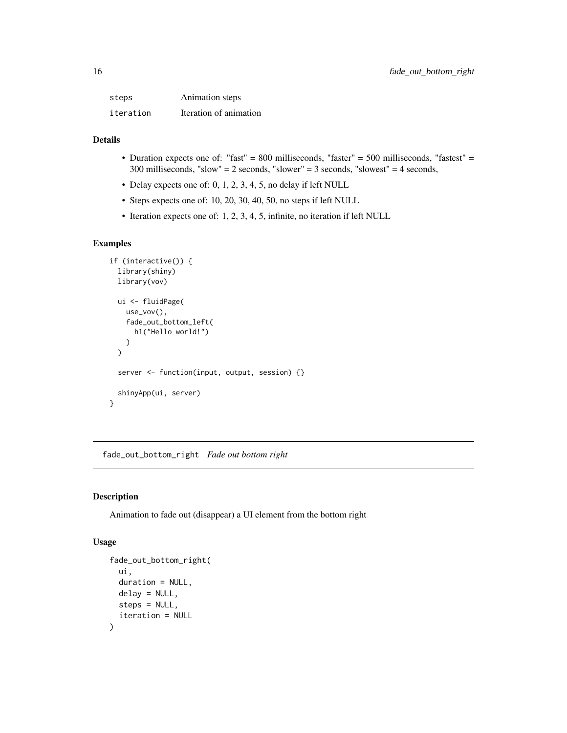<span id="page-15-0"></span>

| steps     | Animation steps        |
|-----------|------------------------|
| iteration | Iteration of animation |

- Duration expects one of: "fast" = 800 milliseconds, "faster" = 500 milliseconds, "fastest" = 300 milliseconds, "slow" = 2 seconds, "slower" = 3 seconds, "slowest" = 4 seconds,
- Delay expects one of: 0, 1, 2, 3, 4, 5, no delay if left NULL
- Steps expects one of: 10, 20, 30, 40, 50, no steps if left NULL
- Iteration expects one of: 1, 2, 3, 4, 5, infinite, no iteration if left NULL

# Examples

```
if (interactive()) {
 library(shiny)
 library(vov)
 ui <- fluidPage(
   use_vov(),
    fade_out_bottom_left(
      h1("Hello world!")
   )
 \mathcal{L}server <- function(input, output, session) {}
 shinyApp(ui, server)
}
```
fade\_out\_bottom\_right *Fade out bottom right*

# Description

Animation to fade out (disappear) a UI element from the bottom right

```
fade_out_bottom_right(
  ui,
 duration = NULL,
 delay = NULL,
  steps = NULL,
  iteration = NULL
)
```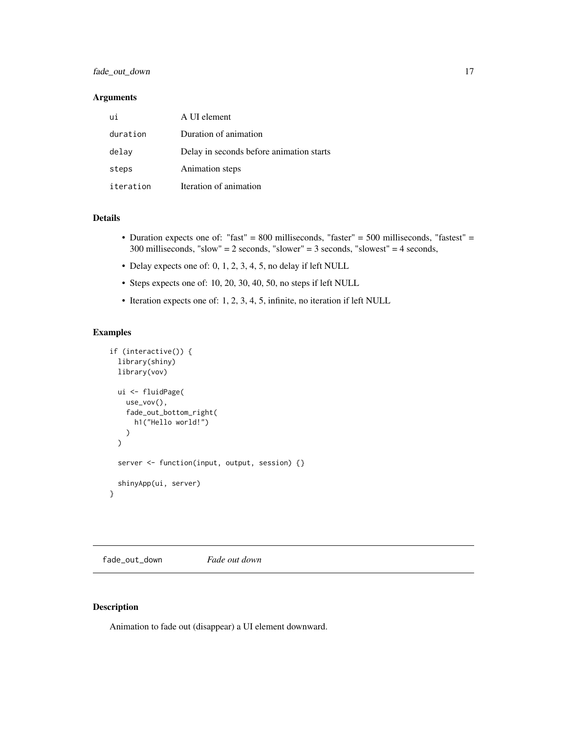### <span id="page-16-0"></span>Arguments

| ui        | A UI element                             |
|-----------|------------------------------------------|
| duration  | Duration of animation                    |
| delay     | Delay in seconds before animation starts |
| steps     | Animation steps                          |
| iteration | Iteration of animation                   |

#### Details

- Duration expects one of: "fast" = 800 milliseconds, "faster" = 500 milliseconds, "fastest" = 300 milliseconds, "slow" = 2 seconds, "slower" = 3 seconds, "slowest" = 4 seconds,
- Delay expects one of: 0, 1, 2, 3, 4, 5, no delay if left NULL
- Steps expects one of: 10, 20, 30, 40, 50, no steps if left NULL
- Iteration expects one of: 1, 2, 3, 4, 5, infinite, no iteration if left NULL

#### Examples

```
if (interactive()) {
 library(shiny)
 library(vov)
 ui <- fluidPage(
   use_vov(),
   fade_out_bottom_right(
      h1("Hello world!")
   )
 \mathcal{L}server <- function(input, output, session) {}
 shinyApp(ui, server)
}
```
fade\_out\_down *Fade out down*

## Description

Animation to fade out (disappear) a UI element downward.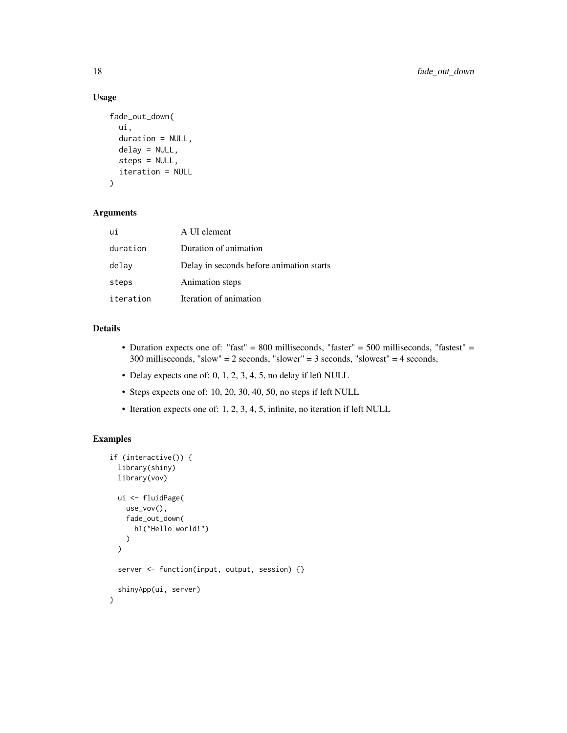# Usage

```
fade_out_down(
  ui,
  duration = NULL,
  delay = NULL,
  steps = NULL,
  iteration = NULL
)
```
#### Arguments

| ui        | A UI element                             |
|-----------|------------------------------------------|
| duration  | Duration of animation                    |
| delay     | Delay in seconds before animation starts |
| steps     | Animation steps                          |
| iteration | Iteration of animation                   |

# Details

- Duration expects one of: "fast" = 800 milliseconds, "faster" = 500 milliseconds, "fastest" = 300 milliseconds, "slow" = 2 seconds, "slower" = 3 seconds, "slowest" = 4 seconds,
- Delay expects one of: 0, 1, 2, 3, 4, 5, no delay if left NULL
- Steps expects one of: 10, 20, 30, 40, 50, no steps if left NULL
- Iteration expects one of: 1, 2, 3, 4, 5, infinite, no iteration if left NULL

```
if (interactive()) {
 library(shiny)
 library(vov)
 ui <- fluidPage(
   use_vov(),
    fade_out_down(
      h1("Hello world!")
   )
 \mathcal{L}server <- function(input, output, session) {}
 shinyApp(ui, server)
}
```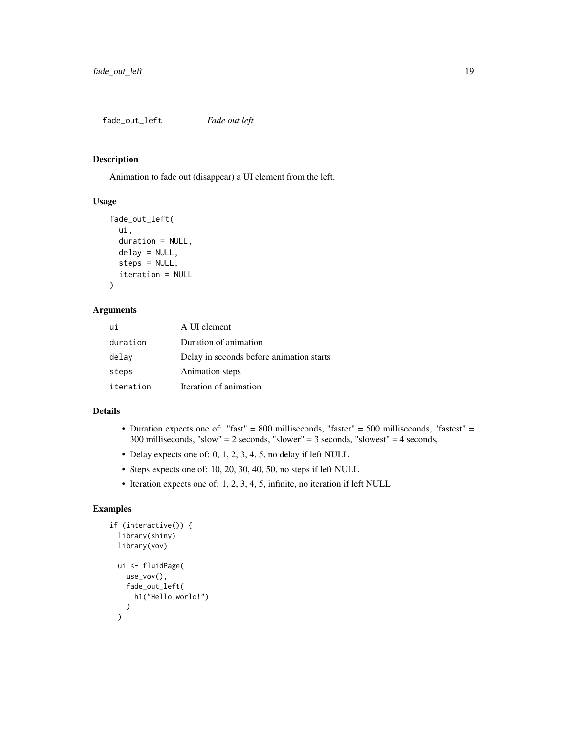# <span id="page-18-0"></span>Description

Animation to fade out (disappear) a UI element from the left.

#### Usage

```
fade_out_left(
 ui,
  duration = NULL,
 delay = NULL,
  steps = NULL,
  iteration = NULL
)
```
# Arguments

| ui        | A UI element                             |
|-----------|------------------------------------------|
| duration  | Duration of animation                    |
| delay     | Delay in seconds before animation starts |
| steps     | Animation steps                          |
| iteration | Iteration of animation                   |

#### Details

- Duration expects one of: "fast" = 800 milliseconds, "faster" = 500 milliseconds, "fastest" = 300 milliseconds, "slow" = 2 seconds, "slower" = 3 seconds, "slowest" = 4 seconds,
- Delay expects one of: 0, 1, 2, 3, 4, 5, no delay if left NULL
- Steps expects one of: 10, 20, 30, 40, 50, no steps if left NULL
- Iteration expects one of: 1, 2, 3, 4, 5, infinite, no iteration if left NULL

```
if (interactive()) {
  library(shiny)
  library(vov)
  ui <- fluidPage(
    use_vov(),
    fade_out_left(
      h1("Hello world!")
    )
  \mathcal{L}
```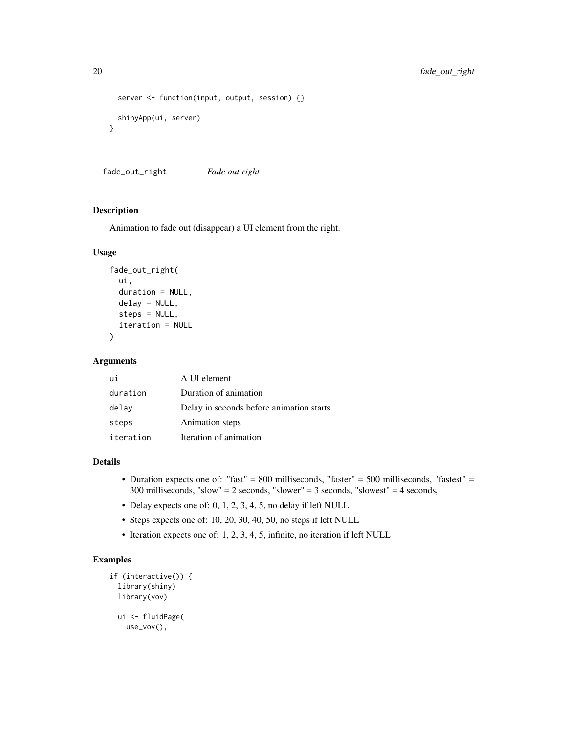```
server <- function(input, output, session) {}
 shinyApp(ui, server)
}
```
fade\_out\_right *Fade out right*

#### Description

Animation to fade out (disappear) a UI element from the right.

#### Usage

```
fade_out_right(
  ui,
  duration = NULL,
  delay = NULL,
  steps = NULL,
  iteration = NULL
)
```
#### Arguments

| ui        | A UI element                             |
|-----------|------------------------------------------|
| duration  | Duration of animation                    |
| delay     | Delay in seconds before animation starts |
| steps     | Animation steps                          |
| iteration | Iteration of animation                   |

#### Details

- Duration expects one of: "fast" = 800 milliseconds, "faster" = 500 milliseconds, "fastest" = 300 milliseconds, "slow" = 2 seconds, "slower" = 3 seconds, "slowest" = 4 seconds,
- Delay expects one of: 0, 1, 2, 3, 4, 5, no delay if left NULL
- Steps expects one of: 10, 20, 30, 40, 50, no steps if left NULL
- Iteration expects one of: 1, 2, 3, 4, 5, infinite, no iteration if left NULL

```
if (interactive()) {
 library(shiny)
 library(vov)
 ui <- fluidPage(
   use_vov(),
```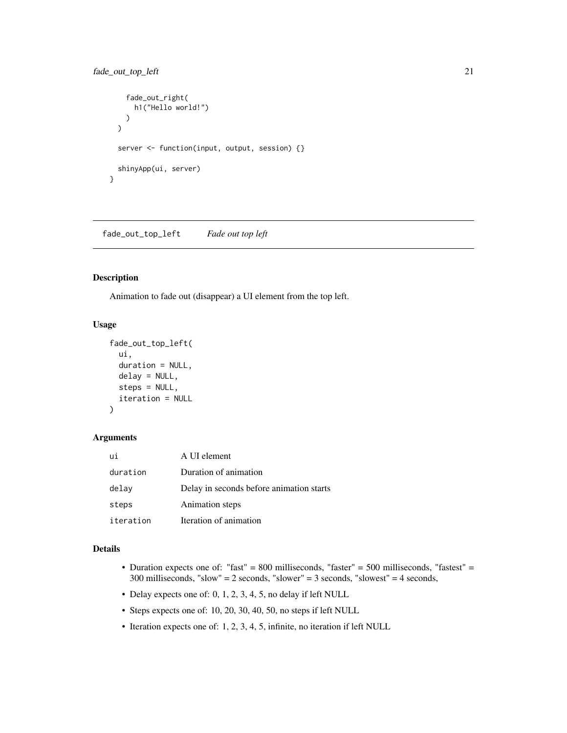```
fade_out_right(
      h1("Hello world!")
    )
  \mathcal{L}server <- function(input, output, session) {}
  shinyApp(ui, server)
}
```
fade\_out\_top\_left *Fade out top left*

#### Description

Animation to fade out (disappear) a UI element from the top left.

#### Usage

```
fade_out_top_left(
  ui,
  duration = NULL,
  delay = NULL,
  steps = NULL,
  iteration = NULL
\mathcal{L}
```
# Arguments

| ui        | A UI element                             |
|-----------|------------------------------------------|
| duration  | Duration of animation                    |
| delay     | Delay in seconds before animation starts |
| steps     | Animation steps                          |
| iteration | Iteration of animation                   |

#### Details

- Duration expects one of: "fast" = 800 milliseconds, "faster" = 500 milliseconds, "fastest" = 300 milliseconds, "slow" = 2 seconds, "slower" = 3 seconds, "slowest" = 4 seconds,
- Delay expects one of: 0, 1, 2, 3, 4, 5, no delay if left NULL
- Steps expects one of: 10, 20, 30, 40, 50, no steps if left NULL
- Iteration expects one of: 1, 2, 3, 4, 5, infinite, no iteration if left NULL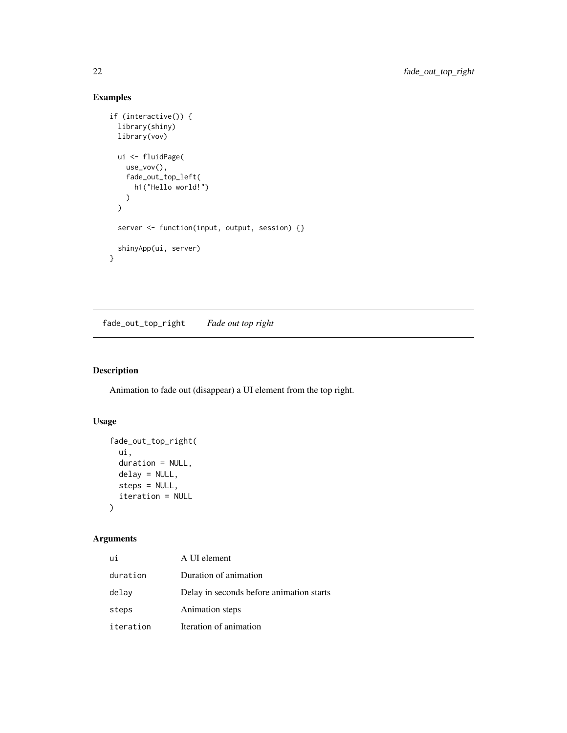# Examples

```
if (interactive()) {
  library(shiny)
  library(vov)
 ui <- fluidPage(
    use_vov(),
    fade_out_top_left(
      h1("Hello world!")
    )
  \mathcal{L}server <- function(input, output, session) {}
  shinyApp(ui, server)
}
```
fade\_out\_top\_right *Fade out top right*

# Description

Animation to fade out (disappear) a UI element from the top right.

# Usage

```
fade_out_top_right(
  ui,
  duration = NULL,
  delay = NULL,
  steps = NULL,
  iteration = NULL
\mathcal{L}
```

| ui        | A UI element                             |
|-----------|------------------------------------------|
| duration  | Duration of animation                    |
| delay     | Delay in seconds before animation starts |
| steps     | Animation steps                          |
| iteration | Iteration of animation                   |

<span id="page-21-0"></span>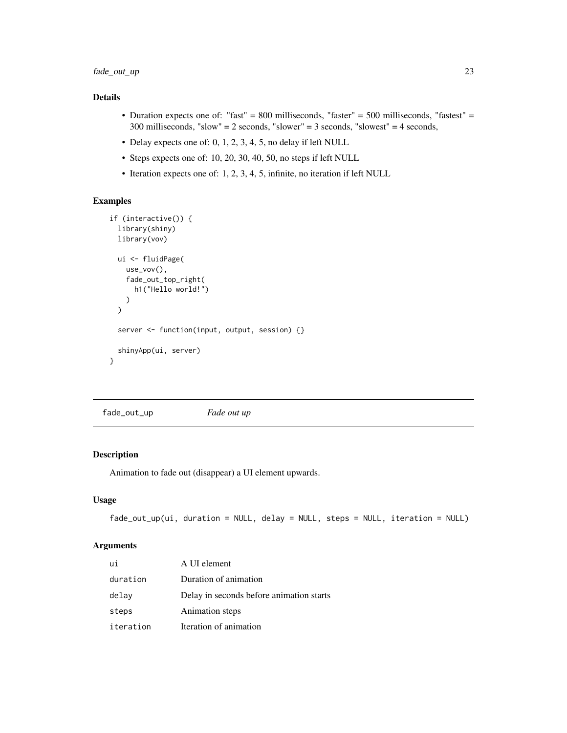- <span id="page-22-0"></span>• Duration expects one of: "fast" = 800 milliseconds, "faster" = 500 milliseconds, "fastest" = 300 milliseconds, "slow" = 2 seconds, "slower" = 3 seconds, "slowest" = 4 seconds,
- Delay expects one of: 0, 1, 2, 3, 4, 5, no delay if left NULL
- Steps expects one of: 10, 20, 30, 40, 50, no steps if left NULL
- Iteration expects one of: 1, 2, 3, 4, 5, infinite, no iteration if left NULL

# Examples

```
if (interactive()) {
 library(shiny)
 library(vov)
 ui <- fluidPage(
    use_vov(),
    fade_out_top_right(
      h1("Hello world!")
   )
 \lambdaserver <- function(input, output, session) {}
 shinyApp(ui, server)
}
```
fade\_out\_up *Fade out up*

# Description

Animation to fade out (disappear) a UI element upwards.

#### Usage

```
fade_out_up(ui, duration = NULL, delay = NULL, steps = NULL, iteration = NULL)
```

| ui        | A UI element                             |
|-----------|------------------------------------------|
| duration  | Duration of animation                    |
| delay     | Delay in seconds before animation starts |
| steps     | Animation steps                          |
| iteration | Iteration of animation                   |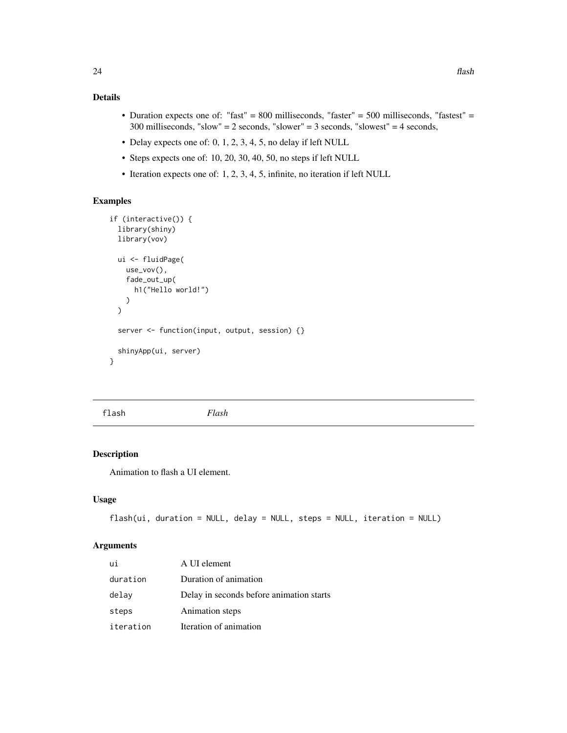- <span id="page-23-0"></span>• Duration expects one of: "fast" = 800 milliseconds, "faster" = 500 milliseconds, "fastest" = 300 milliseconds, "slow" = 2 seconds, "slower" = 3 seconds, "slowest" = 4 seconds,
- Delay expects one of: 0, 1, 2, 3, 4, 5, no delay if left NULL
- Steps expects one of: 10, 20, 30, 40, 50, no steps if left NULL
- Iteration expects one of: 1, 2, 3, 4, 5, infinite, no iteration if left NULL

# Examples

```
if (interactive()) {
 library(shiny)
 library(vov)
 ui <- fluidPage(
   use_vov(),
    fade_out_up(
      h1("Hello world!")
    )
 \mathcal{L}server <- function(input, output, session) {}
 shinyApp(ui, server)
}
```
flash *Flash*

#### Description

Animation to flash a UI element.

#### Usage

```
flash(ui, duration = NULL, delay = NULL, steps = NULL, iteration = NULL)
```

| ui        | A UI element                             |
|-----------|------------------------------------------|
| duration  | Duration of animation                    |
| delay     | Delay in seconds before animation starts |
| steps     | Animation steps                          |
| iteration | Iteration of animation                   |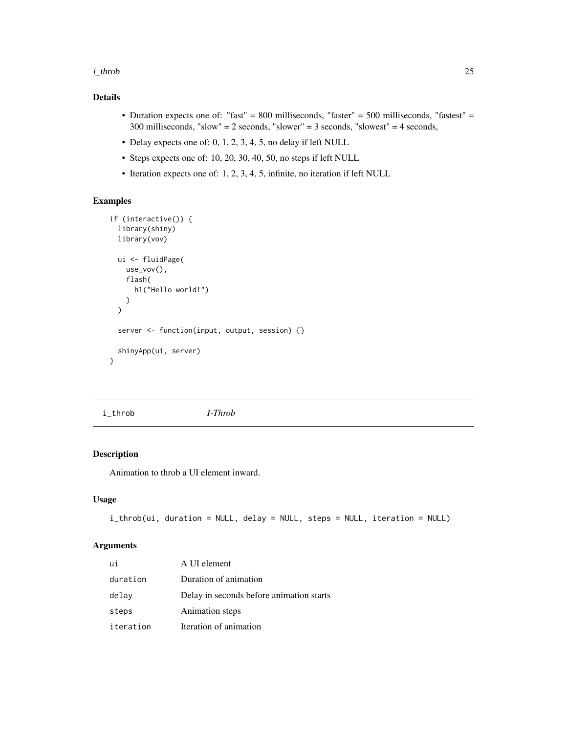#### <span id="page-24-0"></span>i\_throb 25

# Details

- Duration expects one of: "fast" = 800 milliseconds, "faster" = 500 milliseconds, "fastest" = 300 milliseconds, "slow" = 2 seconds, "slower" = 3 seconds, "slowest" = 4 seconds,
- Delay expects one of: 0, 1, 2, 3, 4, 5, no delay if left NULL
- Steps expects one of: 10, 20, 30, 40, 50, no steps if left NULL
- Iteration expects one of: 1, 2, 3, 4, 5, infinite, no iteration if left NULL

# Examples

```
if (interactive()) {
 library(shiny)
 library(vov)
 ui <- fluidPage(
   use_vov(),
    flash(
      h1("Hello world!")
    )
 \lambdaserver <- function(input, output, session) {}
 shinyApp(ui, server)
}
```
i\_throb *I-Throb*

#### Description

Animation to throb a UI element inward.

#### Usage

```
i_throb(ui, duration = NULL, delay = NULL, steps = NULL, iteration = NULL)
```

| ui        | A UI element                             |
|-----------|------------------------------------------|
| duration  | Duration of animation                    |
| delay     | Delay in seconds before animation starts |
| steps     | Animation steps                          |
| iteration | Iteration of animation                   |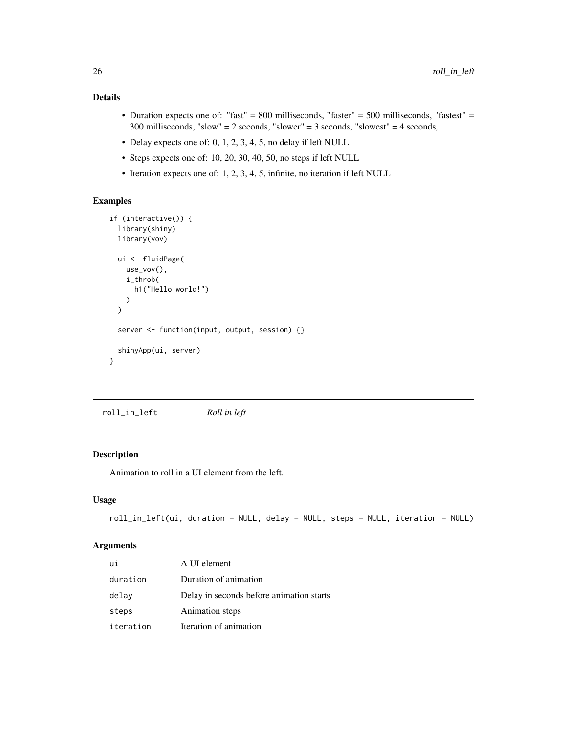- <span id="page-25-0"></span>• Duration expects one of: "fast" = 800 milliseconds, "faster" = 500 milliseconds, "fastest" = 300 milliseconds, "slow" = 2 seconds, "slower" = 3 seconds, "slowest" = 4 seconds,
- Delay expects one of: 0, 1, 2, 3, 4, 5, no delay if left NULL
- Steps expects one of: 10, 20, 30, 40, 50, no steps if left NULL
- Iteration expects one of: 1, 2, 3, 4, 5, infinite, no iteration if left NULL

# Examples

```
if (interactive()) {
 library(shiny)
 library(vov)
 ui <- fluidPage(
   use_vov(),
    i_throb(
      h1("Hello world!")
   )
 \lambdaserver <- function(input, output, session) {}
 shinyApp(ui, server)
}
```
roll\_in\_left *Roll in left*

#### Description

Animation to roll in a UI element from the left.

#### Usage

```
roll_in_left(ui, duration = NULL, delay = NULL, steps = NULL, iteration = NULL)
```

| ui        | A UI element                             |
|-----------|------------------------------------------|
| duration  | Duration of animation                    |
| delay     | Delay in seconds before animation starts |
| steps     | Animation steps                          |
| iteration | Iteration of animation                   |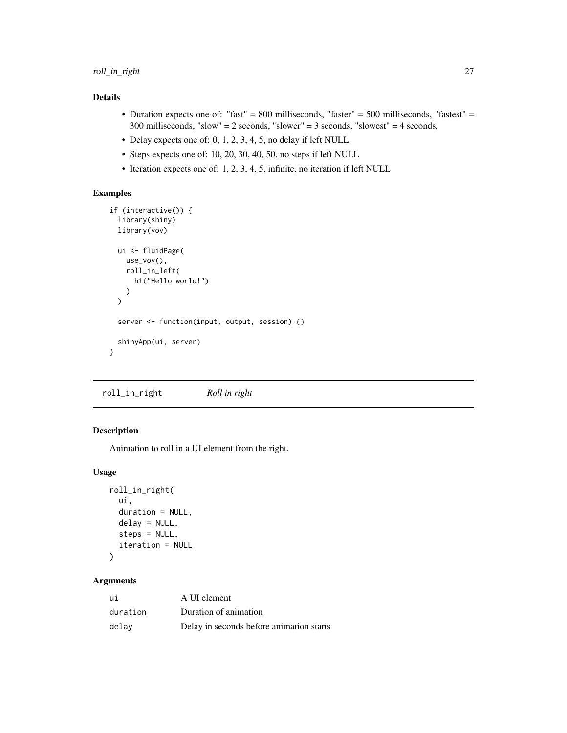- <span id="page-26-0"></span>• Duration expects one of: "fast" = 800 milliseconds, "faster" = 500 milliseconds, "fastest" = 300 milliseconds, "slow" = 2 seconds, "slower" = 3 seconds, "slowest" = 4 seconds,
- Delay expects one of: 0, 1, 2, 3, 4, 5, no delay if left NULL
- Steps expects one of: 10, 20, 30, 40, 50, no steps if left NULL
- Iteration expects one of: 1, 2, 3, 4, 5, infinite, no iteration if left NULL

# Examples

```
if (interactive()) {
  library(shiny)
  library(vov)
  ui <- fluidPage(
    use_vov(),
    roll_in_left(
      h1("Hello world!")
    \lambda\mathcal{L}server <- function(input, output, session) {}
  shinyApp(ui, server)
}
```
roll\_in\_right *Roll in right*

# Description

Animation to roll in a UI element from the right.

# Usage

```
roll_in_right(
  ui,
  duration = NULL,
  delay = NULL,
  steps = NULL,
  iteration = NULL
\lambda
```

| ui       | A UI element                             |
|----------|------------------------------------------|
| duration | Duration of animation                    |
| delav    | Delay in seconds before animation starts |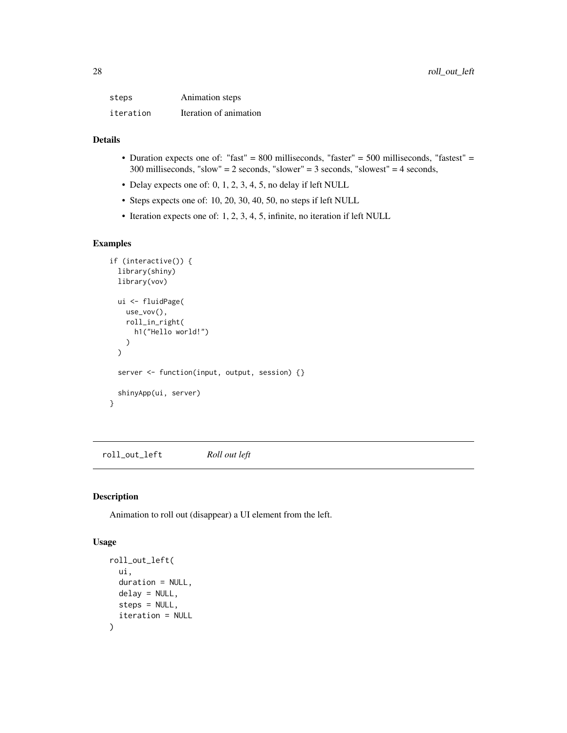<span id="page-27-0"></span>

| steps     | Animation steps        |
|-----------|------------------------|
| iteration | Iteration of animation |

- Duration expects one of: "fast" = 800 milliseconds, "faster" = 500 milliseconds, "fastest" = 300 milliseconds, "slow" = 2 seconds, "slower" = 3 seconds, "slowest" = 4 seconds,
- Delay expects one of: 0, 1, 2, 3, 4, 5, no delay if left NULL
- Steps expects one of: 10, 20, 30, 40, 50, no steps if left NULL
- Iteration expects one of: 1, 2, 3, 4, 5, infinite, no iteration if left NULL

# Examples

```
if (interactive()) {
 library(shiny)
 library(vov)
 ui <- fluidPage(
   use_vov(),
   roll_in_right(
      h1("Hello world!")
   )
 \mathcal{L}server <- function(input, output, session) {}
 shinyApp(ui, server)
}
```
roll\_out\_left *Roll out left*

# Description

Animation to roll out (disappear) a UI element from the left.

```
roll_out_left(
  ui,
  duration = NULL,
  delay = NULL,
  steps = NULL,
  iteration = NULL
\mathcal{E}
```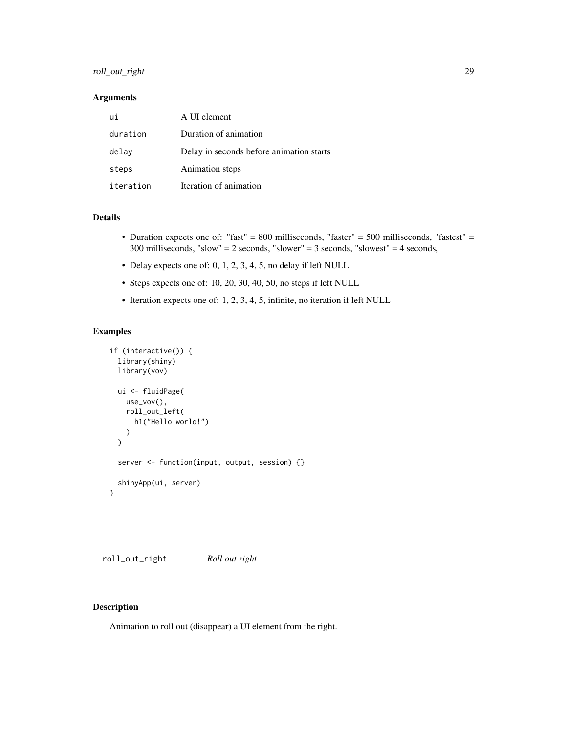# <span id="page-28-0"></span>roll\_out\_right 29

# Arguments

| ui        | A UI element                             |
|-----------|------------------------------------------|
| duration  | Duration of animation                    |
| delay     | Delay in seconds before animation starts |
| steps     | Animation steps                          |
| iteration | Iteration of animation                   |

#### Details

- Duration expects one of: "fast" = 800 milliseconds, "faster" = 500 milliseconds, "fastest" = 300 milliseconds, "slow" = 2 seconds, "slower" = 3 seconds, "slowest" = 4 seconds,
- Delay expects one of: 0, 1, 2, 3, 4, 5, no delay if left NULL
- Steps expects one of: 10, 20, 30, 40, 50, no steps if left NULL
- Iteration expects one of: 1, 2, 3, 4, 5, infinite, no iteration if left NULL

#### Examples

```
if (interactive()) {
 library(shiny)
 library(vov)
 ui <- fluidPage(
   use_vov(),
   roll_out_left(
     h1("Hello world!")
   )
 \lambdaserver <- function(input, output, session) {}
 shinyApp(ui, server)
}
```
roll\_out\_right *Roll out right*

## Description

Animation to roll out (disappear) a UI element from the right.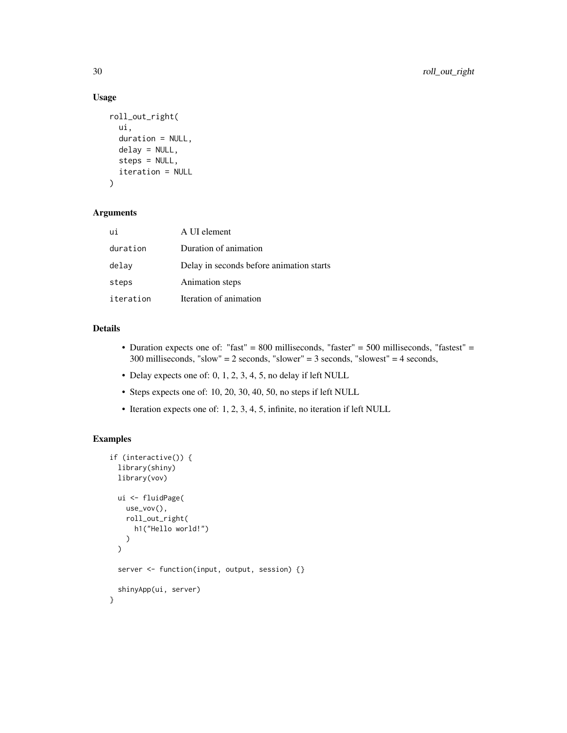# Usage

```
roll_out_right(
 ui,
  duration = NULL,
 delay = NULL,
  steps = NULL,
 iteration = NULL
)
```
#### Arguments

| ui        | A UI element                             |
|-----------|------------------------------------------|
| duration  | Duration of animation                    |
| delay     | Delay in seconds before animation starts |
| steps     | Animation steps                          |
| iteration | Iteration of animation                   |

# Details

- Duration expects one of: "fast" = 800 milliseconds, "faster" = 500 milliseconds, "fastest" = 300 milliseconds, "slow" = 2 seconds, "slower" = 3 seconds, "slowest" = 4 seconds,
- Delay expects one of: 0, 1, 2, 3, 4, 5, no delay if left NULL
- Steps expects one of: 10, 20, 30, 40, 50, no steps if left NULL
- Iteration expects one of: 1, 2, 3, 4, 5, infinite, no iteration if left NULL

```
if (interactive()) {
 library(shiny)
 library(vov)
 ui <- fluidPage(
   use_vov(),
   roll_out_right(
      h1("Hello world!")
   )
 \mathcal{L}server <- function(input, output, session) {}
 shinyApp(ui, server)
}
```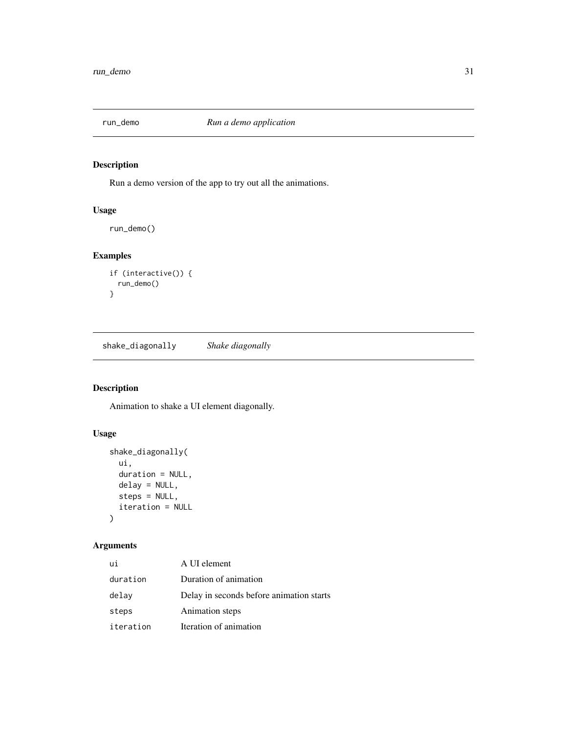<span id="page-30-0"></span>

# Description

Run a demo version of the app to try out all the animations.

# Usage

run\_demo()

# Examples

```
if (interactive()) {
  run_demo()
}
```
shake\_diagonally *Shake diagonally*

# Description

Animation to shake a UI element diagonally.

# Usage

```
shake_diagonally(
 ui,
 duration = NULL,
 delay = NULL,
 steps = NULL,
  iteration = NULL
)
```

| ui        | A UI element                             |
|-----------|------------------------------------------|
| duration  | Duration of animation                    |
| delay     | Delay in seconds before animation starts |
| steps     | Animation steps                          |
| iteration | Iteration of animation                   |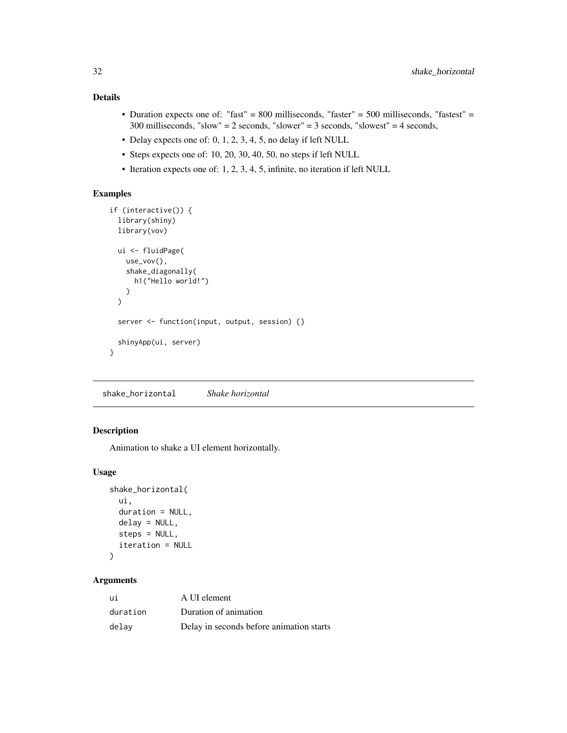- <span id="page-31-0"></span>• Duration expects one of: "fast" = 800 milliseconds, "faster" = 500 milliseconds, "fastest" = 300 milliseconds, "slow" = 2 seconds, "slower" = 3 seconds, "slowest" = 4 seconds,
- Delay expects one of: 0, 1, 2, 3, 4, 5, no delay if left NULL
- Steps expects one of: 10, 20, 30, 40, 50, no steps if left NULL
- Iteration expects one of: 1, 2, 3, 4, 5, infinite, no iteration if left NULL

# Examples

```
if (interactive()) {
 library(shiny)
 library(vov)
 ui <- fluidPage(
   use_vov(),
    shake_diagonally(
      h1("Hello world!")
   )
 \mathcal{L}server <- function(input, output, session) {}
 shinyApp(ui, server)
}
```
shake\_horizontal *Shake horizontal*

# Description

Animation to shake a UI element horizontally.

# Usage

```
shake_horizontal(
 ui,
 duration = NULL,
 delay = NULL,
  steps = NULL,
  iteration = NULL
)
```

| ui       | A UI element                             |
|----------|------------------------------------------|
| duration | Duration of animation                    |
| delav    | Delay in seconds before animation starts |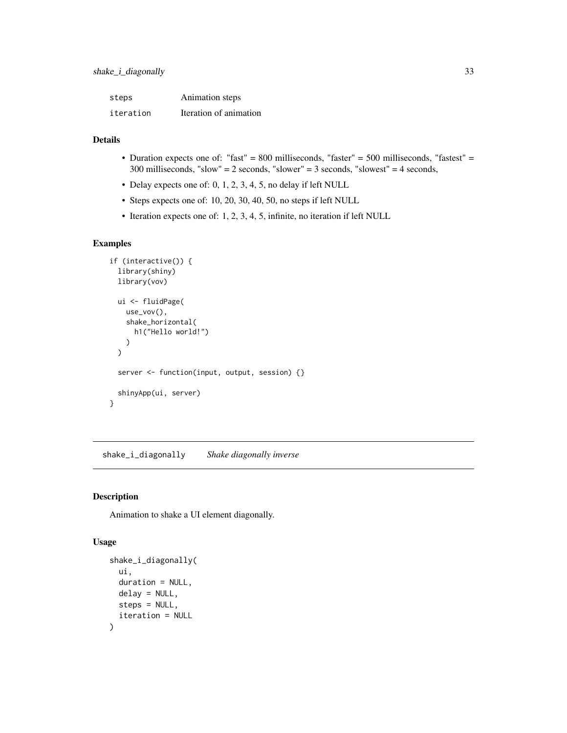<span id="page-32-0"></span>

| steps     | Animation steps        |
|-----------|------------------------|
| iteration | Iteration of animation |

- Duration expects one of: "fast" = 800 milliseconds, "faster" = 500 milliseconds, "fastest" = 300 milliseconds, "slow" = 2 seconds, "slower" = 3 seconds, "slowest" = 4 seconds,
- Delay expects one of: 0, 1, 2, 3, 4, 5, no delay if left NULL
- Steps expects one of: 10, 20, 30, 40, 50, no steps if left NULL
- Iteration expects one of: 1, 2, 3, 4, 5, infinite, no iteration if left NULL

# Examples

```
if (interactive()) {
 library(shiny)
 library(vov)
 ui <- fluidPage(
   use_vov(),
    shake_horizontal(
      h1("Hello world!")
   )
 \mathcal{L}server <- function(input, output, session) {}
 shinyApp(ui, server)
}
```
shake\_i\_diagonally *Shake diagonally inverse*

# Description

Animation to shake a UI element diagonally.

```
shake_i_diagonally(
 ui,
 duration = NULL,
 delay = NULL,
  steps = NULL,
  iteration = NULL
)
```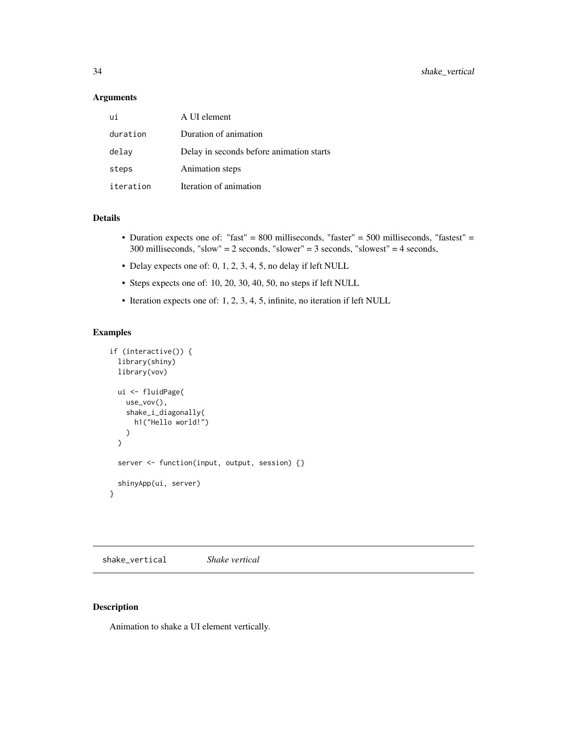#### <span id="page-33-0"></span>Arguments

| ui        | A UI element                             |
|-----------|------------------------------------------|
| duration  | Duration of animation                    |
| delay     | Delay in seconds before animation starts |
| steps     | Animation steps                          |
| iteration | Iteration of animation                   |

#### Details

- Duration expects one of: "fast" = 800 milliseconds, "faster" = 500 milliseconds, "fastest" = 300 milliseconds, "slow" = 2 seconds, "slower" = 3 seconds, "slowest" = 4 seconds,
- Delay expects one of: 0, 1, 2, 3, 4, 5, no delay if left NULL
- Steps expects one of: 10, 20, 30, 40, 50, no steps if left NULL
- Iteration expects one of: 1, 2, 3, 4, 5, infinite, no iteration if left NULL

#### Examples

```
if (interactive()) {
 library(shiny)
 library(vov)
 ui <- fluidPage(
   use_vov(),
    shake_i_diagonally(
     h1("Hello world!")
   )
 \mathcal{L}server <- function(input, output, session) {}
 shinyApp(ui, server)
}
```
shake\_vertical *Shake vertical*

## Description

Animation to shake a UI element vertically.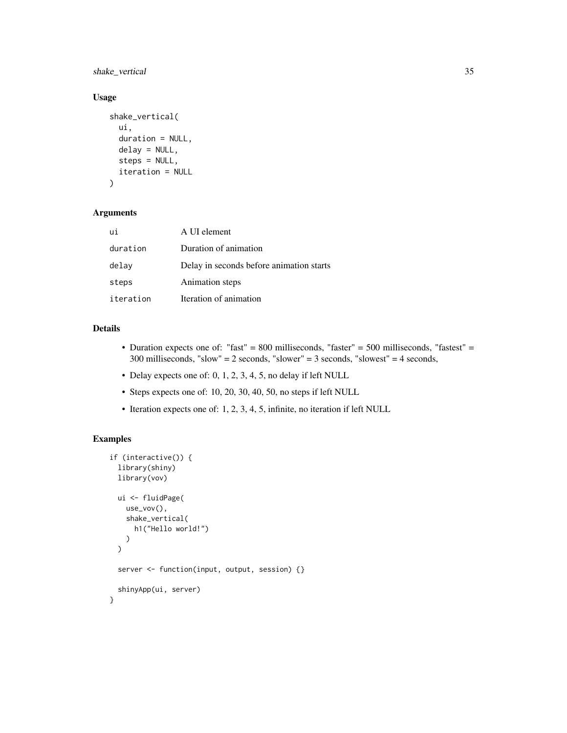shake\_vertical 35

# Usage

```
shake_vertical(
 ui,
  duration = NULL,
 delay = NULL,
  steps = NULL,
 iteration = NULL
)
```
# Arguments

| ui        | A UI element                             |
|-----------|------------------------------------------|
| duration  | Duration of animation                    |
| delay     | Delay in seconds before animation starts |
| steps     | Animation steps                          |
| iteration | Iteration of animation                   |

# Details

- Duration expects one of: "fast" = 800 milliseconds, "faster" = 500 milliseconds, "fastest" = 300 milliseconds, "slow" = 2 seconds, "slower" = 3 seconds, "slowest" = 4 seconds,
- Delay expects one of: 0, 1, 2, 3, 4, 5, no delay if left NULL
- Steps expects one of: 10, 20, 30, 40, 50, no steps if left NULL
- Iteration expects one of: 1, 2, 3, 4, 5, infinite, no iteration if left NULL

```
if (interactive()) {
 library(shiny)
 library(vov)
 ui <- fluidPage(
   use_vov(),
    shake_vertical(
      h1("Hello world!")
   )
 \mathcal{L}server <- function(input, output, session) {}
 shinyApp(ui, server)
}
```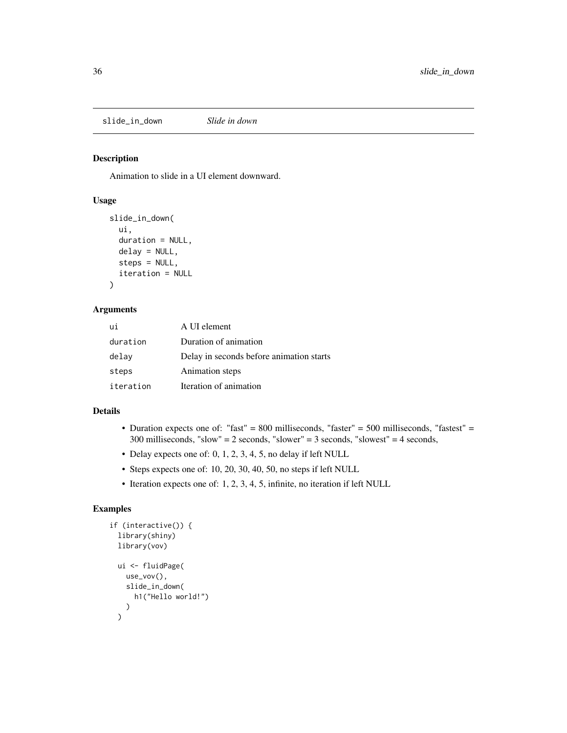<span id="page-35-0"></span>slide\_in\_down *Slide in down*

#### Description

Animation to slide in a UI element downward.

# Usage

```
slide_in_down(
  ui,
  duration = NULL,
  delay = NULL,
  steps = NULL,
  iteration = NULL
\mathcal{E}
```
#### Arguments

| ui        | A UI element                             |
|-----------|------------------------------------------|
| duration  | Duration of animation                    |
| delay     | Delay in seconds before animation starts |
| steps     | Animation steps                          |
| iteration | Iteration of animation                   |

#### Details

- Duration expects one of: "fast" = 800 milliseconds, "faster" = 500 milliseconds, "fastest" = 300 milliseconds, "slow" = 2 seconds, "slower" = 3 seconds, "slowest" = 4 seconds,
- Delay expects one of: 0, 1, 2, 3, 4, 5, no delay if left NULL
- Steps expects one of: 10, 20, 30, 40, 50, no steps if left NULL
- Iteration expects one of: 1, 2, 3, 4, 5, infinite, no iteration if left NULL

```
if (interactive()) {
  library(shiny)
  library(vov)
  ui <- fluidPage(
    use_vov(),
    slide_in_down(
      h1("Hello world!")
    )
  \mathcal{L}
```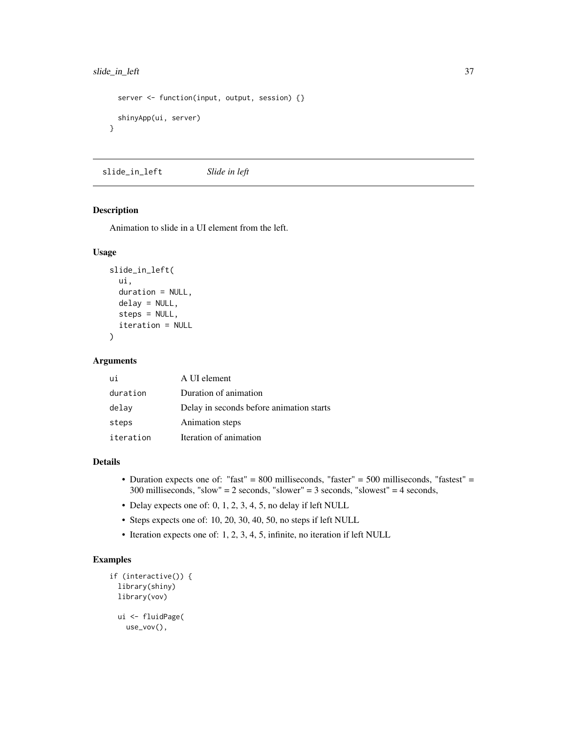# <span id="page-36-0"></span>slide\_in\_left 37

```
server <- function(input, output, session) {}
 shinyApp(ui, server)
}
```
slide\_in\_left *Slide in left*

#### Description

Animation to slide in a UI element from the left.

#### Usage

```
slide_in_left(
 ui,
 duration = NULL,
 delay = NULL,steps = NULL,
  iteration = NULL
)
```
# Arguments

| ui        | A UI element                             |
|-----------|------------------------------------------|
| duration  | Duration of animation                    |
| delay     | Delay in seconds before animation starts |
| steps     | Animation steps                          |
| iteration | Iteration of animation                   |

#### Details

- Duration expects one of: "fast" = 800 milliseconds, "faster" = 500 milliseconds, "fastest" = 300 milliseconds, "slow" = 2 seconds, "slower" = 3 seconds, "slowest" = 4 seconds,
- Delay expects one of: 0, 1, 2, 3, 4, 5, no delay if left NULL
- Steps expects one of: 10, 20, 30, 40, 50, no steps if left NULL
- Iteration expects one of: 1, 2, 3, 4, 5, infinite, no iteration if left NULL

```
if (interactive()) {
 library(shiny)
 library(vov)
 ui <- fluidPage(
   use_vov(),
```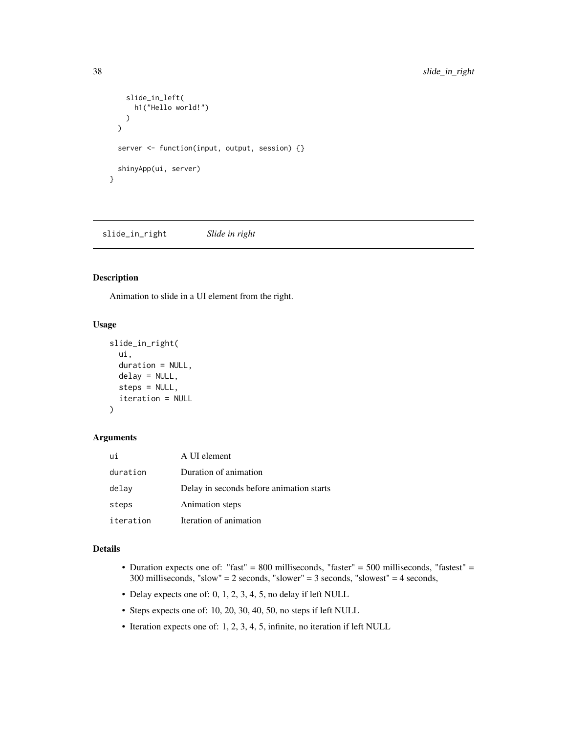```
slide_in_left(
      h1("Hello world!")
    )
  \mathcal{L}server <- function(input, output, session) {}
  shinyApp(ui, server)
}
```
slide\_in\_right *Slide in right*

#### Description

Animation to slide in a UI element from the right.

#### Usage

```
slide_in_right(
  ui,
  duration = NULL,
  delay = NULL,
  steps = NULL,
  iteration = NULL
\mathcal{E}
```
# Arguments

| ui        | A UI element                             |
|-----------|------------------------------------------|
| duration  | Duration of animation                    |
| delay     | Delay in seconds before animation starts |
| steps     | Animation steps                          |
| iteration | Iteration of animation                   |

# Details

- Duration expects one of: "fast" = 800 milliseconds, "faster" = 500 milliseconds, "fastest" = 300 milliseconds, "slow" = 2 seconds, "slower" = 3 seconds, "slowest" = 4 seconds,
- Delay expects one of: 0, 1, 2, 3, 4, 5, no delay if left NULL
- Steps expects one of: 10, 20, 30, 40, 50, no steps if left NULL
- Iteration expects one of: 1, 2, 3, 4, 5, infinite, no iteration if left NULL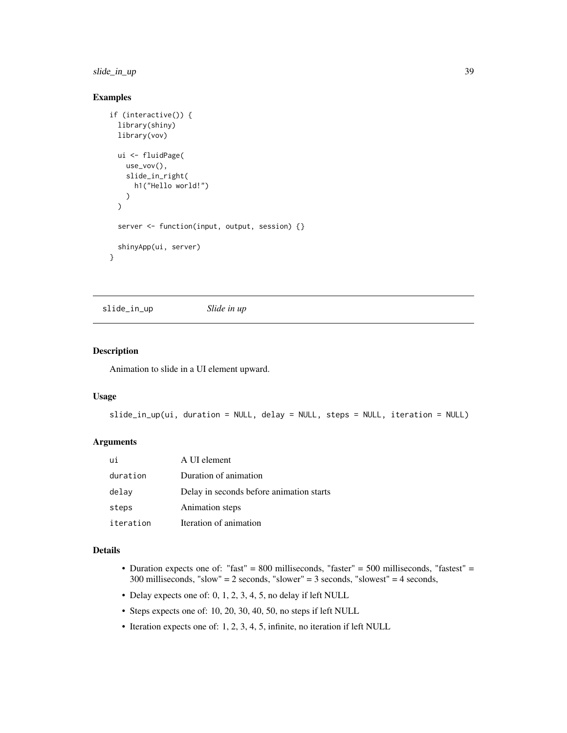<span id="page-38-0"></span>slide\_in\_up 39

# Examples

```
if (interactive()) {
 library(shiny)
 library(vov)
 ui <- fluidPage(
   use_vov(),
   slide_in_right(
     h1("Hello world!")
   \lambda)
 server <- function(input, output, session) {}
 shinyApp(ui, server)
}
```
slide\_in\_up *Slide in up*

# Description

Animation to slide in a UI element upward.

#### Usage

```
slide_in_up(ui, duration = NULL, delay = NULL, steps = NULL, iteration = NULL)
```
# Arguments

| ui        | A UI element                             |
|-----------|------------------------------------------|
| duration  | Duration of animation                    |
| delay     | Delay in seconds before animation starts |
| steps     | Animation steps                          |
| iteration | Iteration of animation                   |

## Details

- Duration expects one of: "fast" = 800 milliseconds, "faster" = 500 milliseconds, "fastest" = 300 milliseconds, "slow" = 2 seconds, "slower" = 3 seconds, "slowest" = 4 seconds,
- Delay expects one of: 0, 1, 2, 3, 4, 5, no delay if left NULL
- Steps expects one of: 10, 20, 30, 40, 50, no steps if left NULL
- Iteration expects one of: 1, 2, 3, 4, 5, infinite, no iteration if left NULL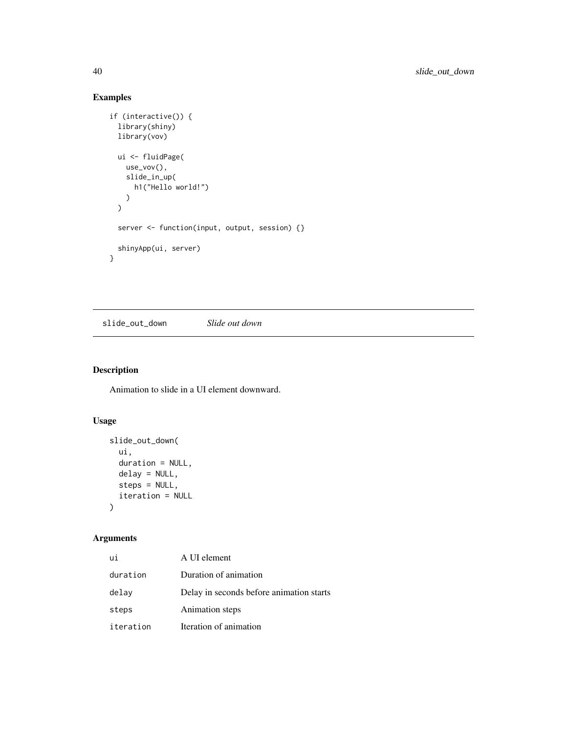# Examples

```
if (interactive()) {
  library(shiny)
  library(vov)
 ui <- fluidPage(
    use_vov(),
    slide_in_up(
     h1("Hello world!")
    )
  \mathcal{L}server <- function(input, output, session) {}
  shinyApp(ui, server)
}
```
slide\_out\_down *Slide out down*

# Description

Animation to slide in a UI element downward.

# Usage

```
slide_out_down(
  ui,
  duration = NULL,
  delay = NULL,
  steps = NULL,
  iteration = NULL
\mathcal{L}
```

| ui        | A UI element                             |
|-----------|------------------------------------------|
| duration  | Duration of animation                    |
| delay     | Delay in seconds before animation starts |
| steps     | Animation steps                          |
| iteration | Iteration of animation                   |

<span id="page-39-0"></span>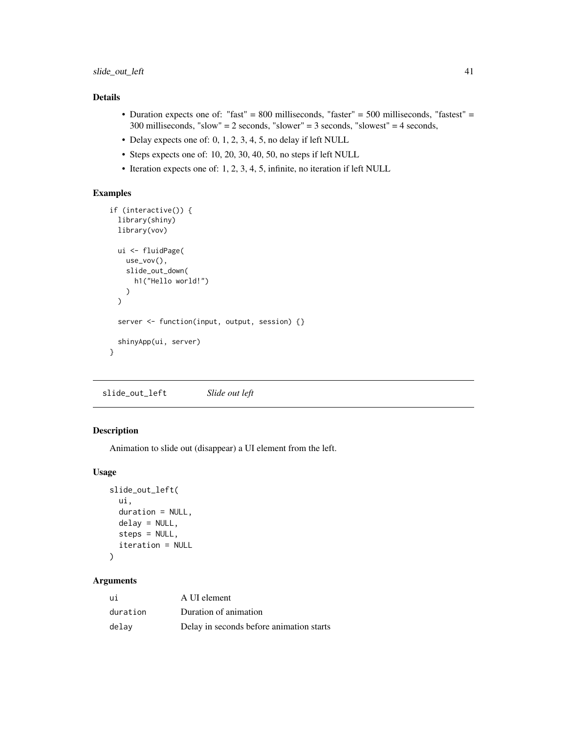- <span id="page-40-0"></span>• Duration expects one of: "fast" = 800 milliseconds, "faster" = 500 milliseconds, "fastest" = 300 milliseconds, "slow" = 2 seconds, "slower" = 3 seconds, "slowest" = 4 seconds,
- Delay expects one of: 0, 1, 2, 3, 4, 5, no delay if left NULL
- Steps expects one of: 10, 20, 30, 40, 50, no steps if left NULL
- Iteration expects one of: 1, 2, 3, 4, 5, infinite, no iteration if left NULL

# Examples

```
if (interactive()) {
  library(shiny)
  library(vov)
  ui <- fluidPage(
    use_vov(),
    slide_out_down(
      h1("Hello world!")
    \lambda\mathcal{L}server <- function(input, output, session) {}
  shinyApp(ui, server)
}
```
slide\_out\_left *Slide out left*

# Description

Animation to slide out (disappear) a UI element from the left.

# Usage

```
slide_out_left(
 ui,
  duration = NULL,
 delay = NULL,
  steps = NULL,
  iteration = NULL
)
```

| ui       | A UI element                             |
|----------|------------------------------------------|
| duration | Duration of animation                    |
| delav    | Delay in seconds before animation starts |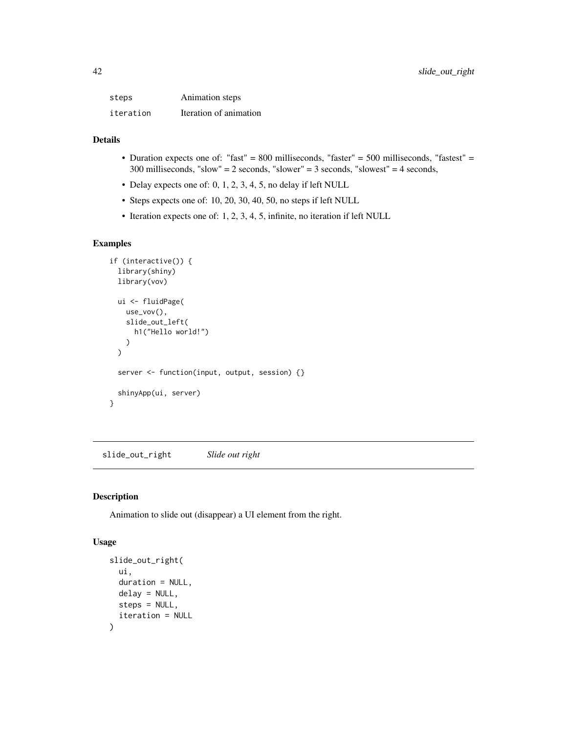<span id="page-41-0"></span>

| steps     | Animation steps        |
|-----------|------------------------|
| iteration | Iteration of animation |

- Duration expects one of: "fast" = 800 milliseconds, "faster" = 500 milliseconds, "fastest" = 300 milliseconds, "slow" = 2 seconds, "slower" = 3 seconds, "slowest" = 4 seconds,
- Delay expects one of: 0, 1, 2, 3, 4, 5, no delay if left NULL
- Steps expects one of: 10, 20, 30, 40, 50, no steps if left NULL
- Iteration expects one of: 1, 2, 3, 4, 5, infinite, no iteration if left NULL

# Examples

```
if (interactive()) {
 library(shiny)
 library(vov)
 ui <- fluidPage(
   use_vov(),
   slide_out_left(
      h1("Hello world!")
   )
 \mathcal{L}server <- function(input, output, session) {}
 shinyApp(ui, server)
}
```
slide\_out\_right *Slide out right*

# Description

Animation to slide out (disappear) a UI element from the right.

```
slide_out_right(
 ui,
 duration = NULL,
 delay = NULL,
  steps = NULL,
  iteration = NULL
)
```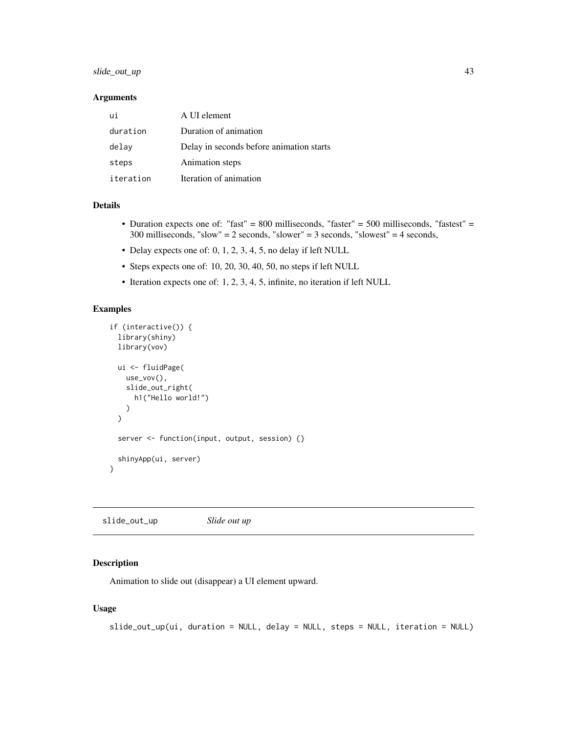# <span id="page-42-0"></span>slide\_out\_up 43

### Arguments

| ui        | A UI element                             |
|-----------|------------------------------------------|
| duration  | Duration of animation                    |
| delay     | Delay in seconds before animation starts |
| steps     | Animation steps                          |
| iteration | Iteration of animation                   |

#### Details

- Duration expects one of: "fast" = 800 milliseconds, "faster" = 500 milliseconds, "fastest" = 300 milliseconds, "slow" = 2 seconds, "slower" = 3 seconds, "slowest" = 4 seconds,
- Delay expects one of: 0, 1, 2, 3, 4, 5, no delay if left NULL
- Steps expects one of: 10, 20, 30, 40, 50, no steps if left NULL
- Iteration expects one of: 1, 2, 3, 4, 5, infinite, no iteration if left NULL

# Examples

```
if (interactive()) {
 library(shiny)
 library(vov)
 ui <- fluidPage(
   use_vov(),
    slide_out_right(
     h1("Hello world!")
   )
 \lambdaserver <- function(input, output, session) {}
 shinyApp(ui, server)
}
```
slide\_out\_up *Slide out up*

#### Description

Animation to slide out (disappear) a UI element upward.

```
slide_out_up(ui, duration = NULL, delay = NULL, steps = NULL, iteration = NULL)
```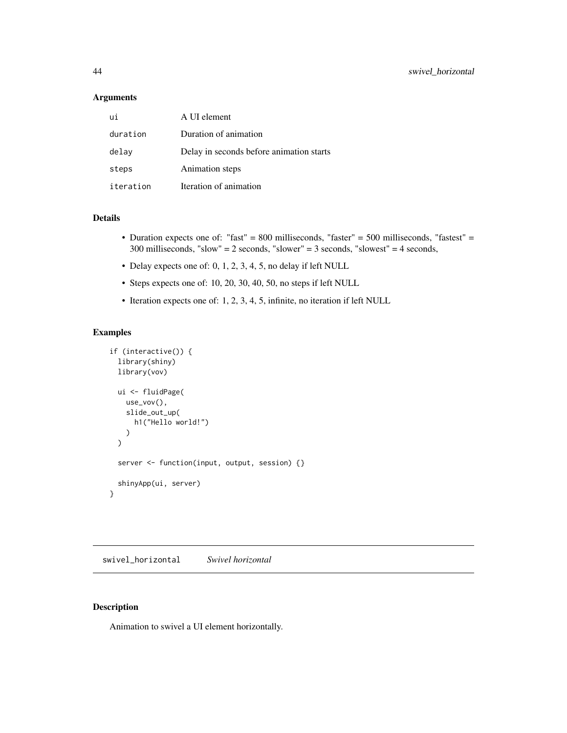#### <span id="page-43-0"></span>Arguments

| ui        | A UI element                             |
|-----------|------------------------------------------|
| duration  | Duration of animation                    |
| delay     | Delay in seconds before animation starts |
| steps     | Animation steps                          |
| iteration | Iteration of animation                   |

#### Details

- Duration expects one of: "fast" = 800 milliseconds, "faster" = 500 milliseconds, "fastest" = 300 milliseconds, "slow" = 2 seconds, "slower" = 3 seconds, "slowest" = 4 seconds,
- Delay expects one of: 0, 1, 2, 3, 4, 5, no delay if left NULL
- Steps expects one of: 10, 20, 30, 40, 50, no steps if left NULL
- Iteration expects one of: 1, 2, 3, 4, 5, infinite, no iteration if left NULL

#### Examples

```
if (interactive()) {
 library(shiny)
 library(vov)
 ui <- fluidPage(
   use_vov(),
   slide_out_up(
      h1("Hello world!")
   )
 \mathcal{L}server <- function(input, output, session) {}
 shinyApp(ui, server)
}
```
swivel\_horizontal *Swivel horizontal*

## Description

Animation to swivel a UI element horizontally.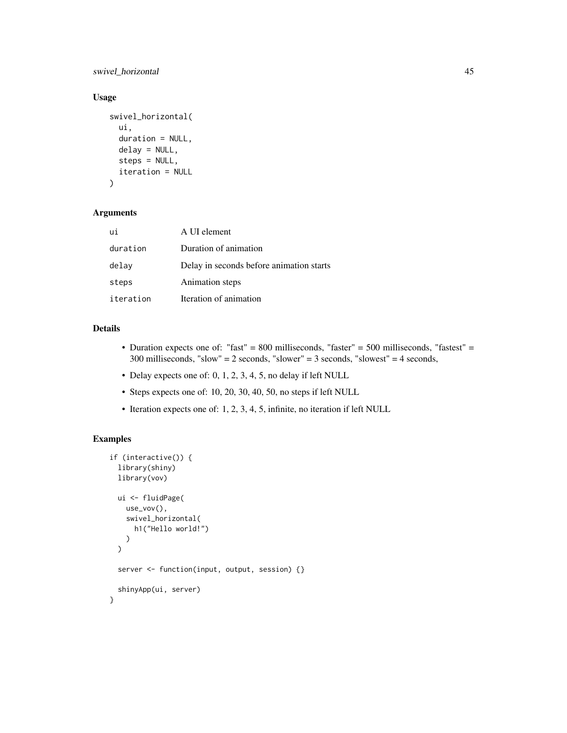swivel\_horizontal 45

# Usage

```
swivel_horizontal(
 ui,
  duration = NULL,
 delay = NULL,
  steps = NULL,
 iteration = NULL
)
```
# Arguments

| ui        | A UI element                             |
|-----------|------------------------------------------|
| duration  | Duration of animation                    |
| delay     | Delay in seconds before animation starts |
| steps     | Animation steps                          |
| iteration | Iteration of animation                   |

# Details

- Duration expects one of: "fast" = 800 milliseconds, "faster" = 500 milliseconds, "fastest" = 300 milliseconds, "slow" = 2 seconds, "slower" = 3 seconds, "slowest" = 4 seconds,
- Delay expects one of: 0, 1, 2, 3, 4, 5, no delay if left NULL
- Steps expects one of: 10, 20, 30, 40, 50, no steps if left NULL
- Iteration expects one of: 1, 2, 3, 4, 5, infinite, no iteration if left NULL

```
if (interactive()) {
 library(shiny)
 library(vov)
 ui <- fluidPage(
   use_vov(),
    swivel_horizontal(
     h1("Hello world!")
   )
 \mathcal{L}server <- function(input, output, session) {}
 shinyApp(ui, server)
}
```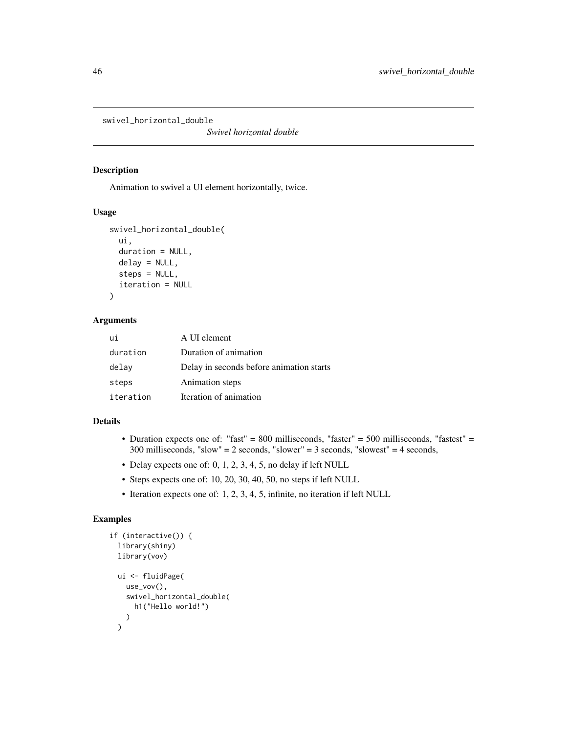<span id="page-45-0"></span>swivel\_horizontal\_double

*Swivel horizontal double*

#### Description

Animation to swivel a UI element horizontally, twice.

#### Usage

```
swivel_horizontal_double(
 ui,
 duration = NULL,
 delay = NULL,
  steps = NULL,
  iteration = NULL
\lambda
```
# Arguments

| ui        | A UI element                             |
|-----------|------------------------------------------|
| duration  | Duration of animation                    |
| delay     | Delay in seconds before animation starts |
| steps     | Animation steps                          |
| iteration | Iteration of animation                   |

#### Details

- Duration expects one of: "fast" = 800 milliseconds, "faster" = 500 milliseconds, "fastest" = 300 milliseconds, "slow" = 2 seconds, "slower" = 3 seconds, "slowest" = 4 seconds,
- Delay expects one of: 0, 1, 2, 3, 4, 5, no delay if left NULL
- Steps expects one of: 10, 20, 30, 40, 50, no steps if left NULL
- Iteration expects one of: 1, 2, 3, 4, 5, infinite, no iteration if left NULL

```
if (interactive()) {
  library(shiny)
  library(vov)
  ui <- fluidPage(
    use_vov(),
    swivel_horizontal_double(
      h1("Hello world!")
    )
  \mathcal{L}
```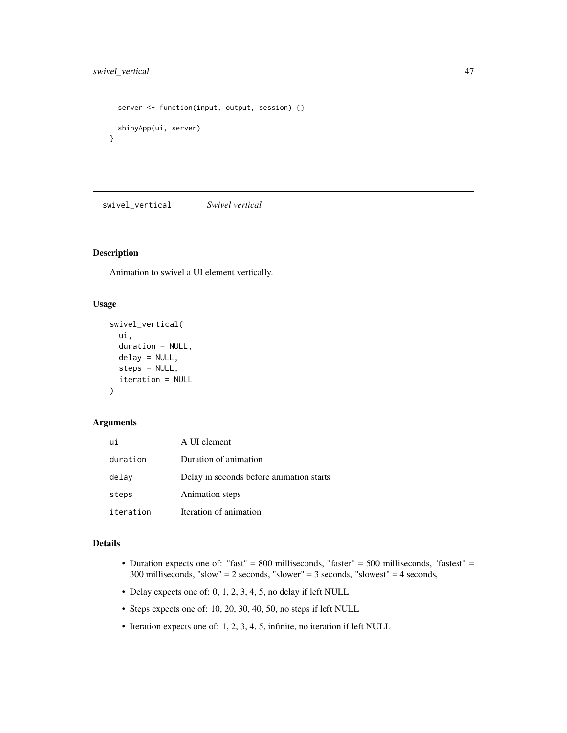```
server <- function(input, output, session) {}
 shinyApp(ui, server)
}
```
swivel\_vertical *Swivel vertical*

## Description

Animation to swivel a UI element vertically.

# Usage

```
swivel_vertical(
  ui,
  duration = NULL,
 delay = NULL,
  steps = NULL,
  iteration = NULL
)
```
#### Arguments

| ui        | A UI element                             |
|-----------|------------------------------------------|
| duration  | Duration of animation                    |
| delay     | Delay in seconds before animation starts |
| steps     | Animation steps                          |
| iteration | Iteration of animation                   |

# Details

- Duration expects one of: "fast" = 800 milliseconds, "faster" = 500 milliseconds, "fastest" = 300 milliseconds, "slow" = 2 seconds, "slower" = 3 seconds, "slowest" = 4 seconds,
- Delay expects one of: 0, 1, 2, 3, 4, 5, no delay if left NULL
- Steps expects one of: 10, 20, 30, 40, 50, no steps if left NULL
- Iteration expects one of: 1, 2, 3, 4, 5, infinite, no iteration if left NULL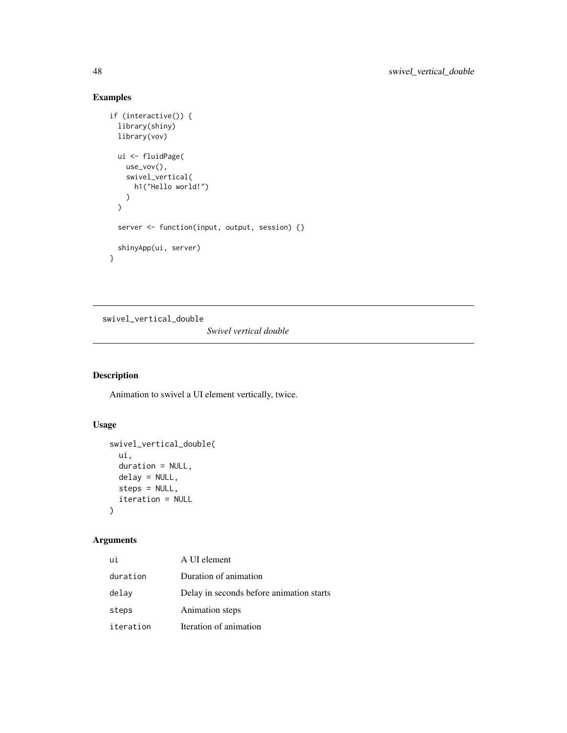# Examples

```
if (interactive()) {
  library(shiny)
  library(vov)
 ui <- fluidPage(
    use_vov(),
    swivel_vertical(
      h1("Hello world!")
    )
  \mathcal{L}server <- function(input, output, session) {}
  shinyApp(ui, server)
}
```
swivel\_vertical\_double

*Swivel vertical double*

# Description

Animation to swivel a UI element vertically, twice.

# Usage

```
swivel_vertical_double(
  ui,
  duration = NULL,
  delay = NULL,
  steps = NULL,
  iteration = NULL
\mathcal{L}
```

| ui        | A UI element                             |
|-----------|------------------------------------------|
| duration  | Duration of animation                    |
| delay     | Delay in seconds before animation starts |
| steps     | Animation steps                          |
| iteration | Iteration of animation                   |

<span id="page-47-0"></span>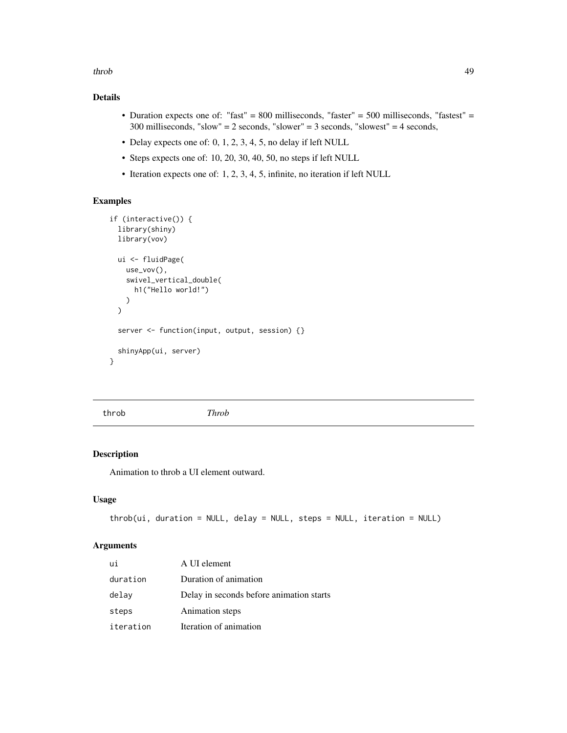<span id="page-48-0"></span>throb 49

# Details

- Duration expects one of: "fast" = 800 milliseconds, "faster" = 500 milliseconds, "fastest" = 300 milliseconds, "slow" = 2 seconds, "slower" = 3 seconds, "slowest" = 4 seconds,
- Delay expects one of: 0, 1, 2, 3, 4, 5, no delay if left NULL
- Steps expects one of: 10, 20, 30, 40, 50, no steps if left NULL
- Iteration expects one of: 1, 2, 3, 4, 5, infinite, no iteration if left NULL

# Examples

```
if (interactive()) {
 library(shiny)
 library(vov)
 ui <- fluidPage(
   use_vov(),
    swivel_vertical_double(
     h1("Hello world!")
    )
 \lambdaserver <- function(input, output, session) {}
 shinyApp(ui, server)
}
```
throb *Throb*

# Description

Animation to throb a UI element outward.

#### Usage

```
throb(ui, duration = NULL, delay = NULL, steps = NULL, iteration = NULL)
```

| ui        | A UI element                             |
|-----------|------------------------------------------|
| duration  | Duration of animation                    |
| delay     | Delay in seconds before animation starts |
| steps     | Animation steps                          |
| iteration | Iteration of animation                   |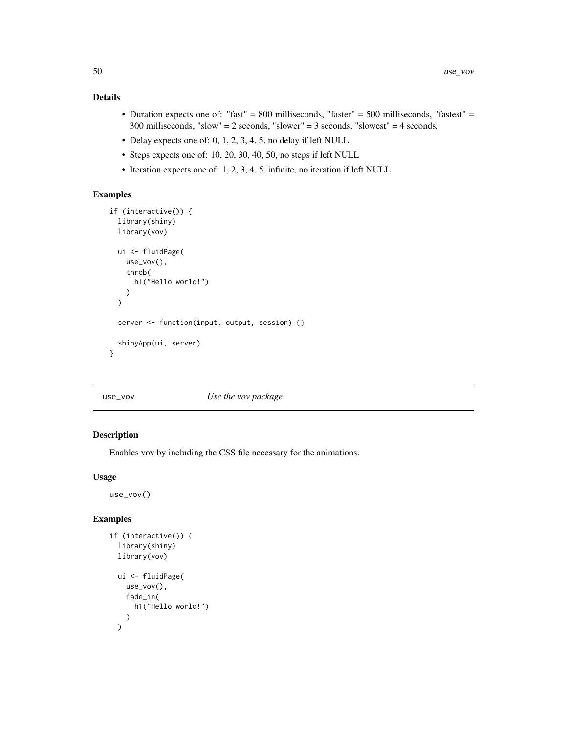- <span id="page-49-0"></span>• Duration expects one of: "fast" = 800 milliseconds, "faster" = 500 milliseconds, "fastest" = 300 milliseconds, "slow" = 2 seconds, "slower" = 3 seconds, "slowest" = 4 seconds,
- Delay expects one of: 0, 1, 2, 3, 4, 5, no delay if left NULL
- Steps expects one of: 10, 20, 30, 40, 50, no steps if left NULL
- Iteration expects one of: 1, 2, 3, 4, 5, infinite, no iteration if left NULL

# Examples

```
if (interactive()) {
  library(shiny)
  library(vov)
  ui <- fluidPage(
   use_vov(),
    throb(
      h1("Hello world!")
    )
  )
  server <- function(input, output, session) {}
  shinyApp(ui, server)
}
```
# use\_vov *Use the vov package*

### Description

Enables vov by including the CSS file necessary for the animations.

#### Usage

use\_vov()

```
if (interactive()) {
  library(shiny)
  library(vov)
  ui <- fluidPage(
    use_vov(),
    fade_in(
      h1("Hello world!")
    )
  \mathcal{L}
```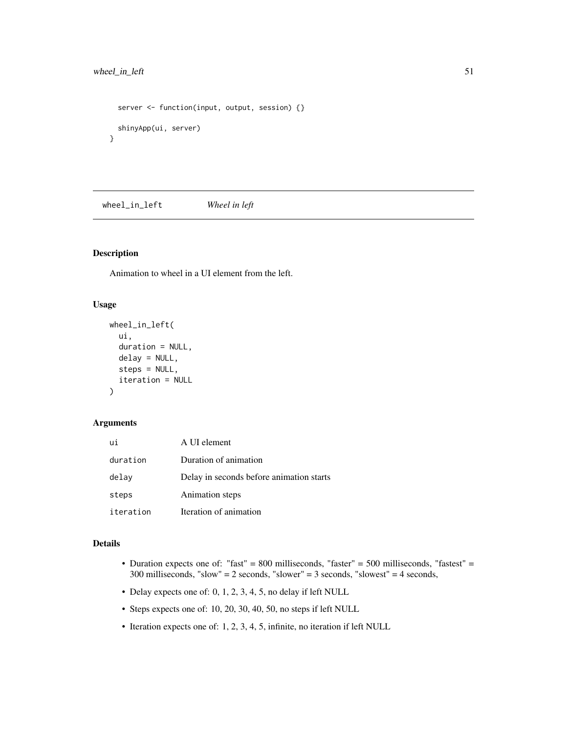# <span id="page-50-0"></span>wheel\_in\_left 51

```
server <- function(input, output, session) {}
 shinyApp(ui, server)
}
```
wheel\_in\_left *Wheel in left*

# Description

Animation to wheel in a UI element from the left.

# Usage

```
wheel_in_left(
  ui,
  duration = NULL,
 delay = NULL,
  steps = NULL,
  iteration = NULL
)
```
#### Arguments

| ui        | A UI element                             |
|-----------|------------------------------------------|
| duration  | Duration of animation                    |
| delav     | Delay in seconds before animation starts |
| steps     | Animation steps                          |
| iteration | Iteration of animation                   |

# Details

- Duration expects one of: "fast" = 800 milliseconds, "faster" = 500 milliseconds, "fastest" = 300 milliseconds, "slow" = 2 seconds, "slower" = 3 seconds, "slowest" = 4 seconds,
- Delay expects one of: 0, 1, 2, 3, 4, 5, no delay if left NULL
- Steps expects one of: 10, 20, 30, 40, 50, no steps if left NULL
- Iteration expects one of: 1, 2, 3, 4, 5, infinite, no iteration if left NULL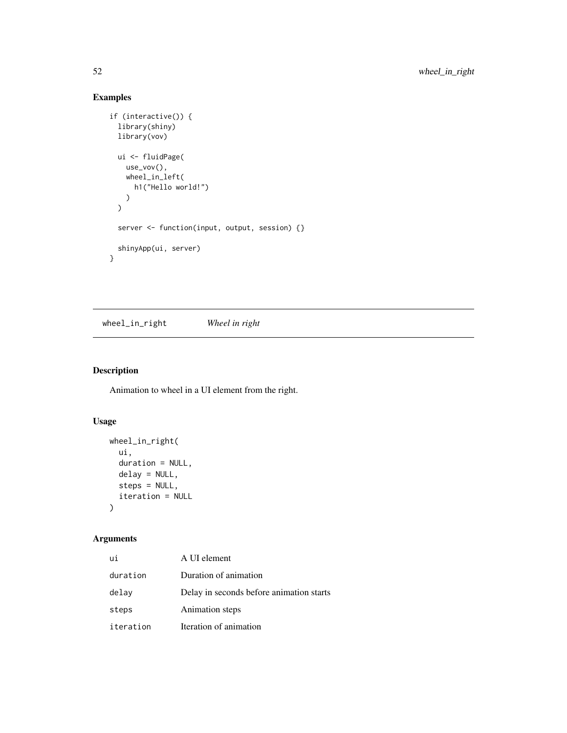# Examples

```
if (interactive()) {
  library(shiny)
  library(vov)
 ui <- fluidPage(
    use_vov(),
    wheel_in_left(
      h1("Hello world!")
    )
  \mathcal{L}server <- function(input, output, session) {}
  shinyApp(ui, server)
}
```
wheel\_in\_right *Wheel in right*

# Description

Animation to wheel in a UI element from the right.

# Usage

```
wheel_in_right(
  ui,
  duration = NULL,
  delay = NULL,
  steps = NULL,
  iteration = NULL
\mathcal{L}
```

| ui        | A UI element                             |
|-----------|------------------------------------------|
| duration  | Duration of animation                    |
| delay     | Delay in seconds before animation starts |
| steps     | Animation steps                          |
| iteration | Iteration of animation                   |

<span id="page-51-0"></span>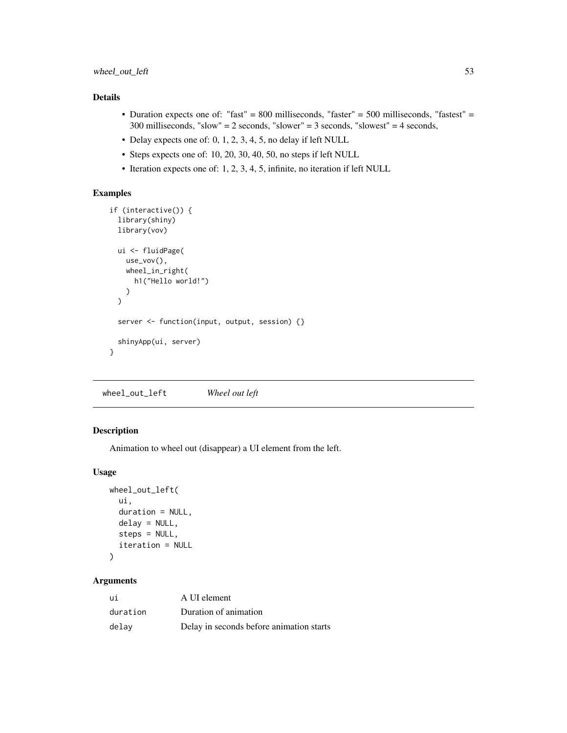- <span id="page-52-0"></span>• Duration expects one of: "fast" = 800 milliseconds, "faster" = 500 milliseconds, "fastest" = 300 milliseconds, "slow" = 2 seconds, "slower" = 3 seconds, "slowest" = 4 seconds,
- Delay expects one of: 0, 1, 2, 3, 4, 5, no delay if left NULL
- Steps expects one of: 10, 20, 30, 40, 50, no steps if left NULL
- Iteration expects one of: 1, 2, 3, 4, 5, infinite, no iteration if left NULL

# Examples

```
if (interactive()) {
 library(shiny)
 library(vov)
 ui <- fluidPage(
   use_vov(),
   wheel_in_right(
      h1("Hello world!")
   )
 \mathcal{L}server <- function(input, output, session) {}
 shinyApp(ui, server)
}
```
wheel\_out\_left *Wheel out left*

# Description

Animation to wheel out (disappear) a UI element from the left.

# Usage

```
wheel_out_left(
  ui,
  duration = NULL,
  delay = NULL,
  steps = NULL,
  iteration = NULL
)
```

| ui       | A UI element                             |
|----------|------------------------------------------|
| duration | Duration of animation                    |
| delav    | Delay in seconds before animation starts |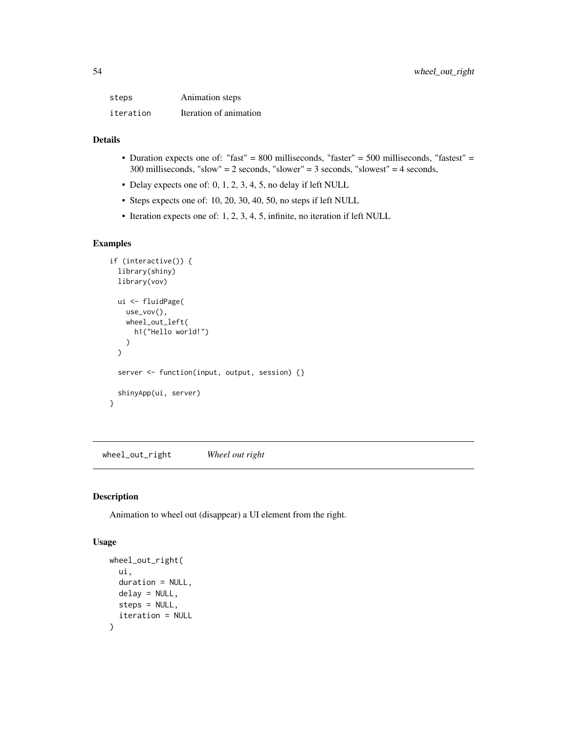<span id="page-53-0"></span>

| steps     | Animation steps        |
|-----------|------------------------|
| iteration | Iteration of animation |

- Duration expects one of: "fast" = 800 milliseconds, "faster" = 500 milliseconds, "fastest" = 300 milliseconds, "slow" = 2 seconds, "slower" = 3 seconds, "slowest" = 4 seconds,
- Delay expects one of: 0, 1, 2, 3, 4, 5, no delay if left NULL
- Steps expects one of: 10, 20, 30, 40, 50, no steps if left NULL
- Iteration expects one of: 1, 2, 3, 4, 5, infinite, no iteration if left NULL

# Examples

```
if (interactive()) {
 library(shiny)
 library(vov)
 ui <- fluidPage(
   use_vov(),
   wheel_out_left(
      h1("Hello world!")
   )
 \mathcal{L}server <- function(input, output, session) {}
 shinyApp(ui, server)
}
```
wheel\_out\_right *Wheel out right*

# Description

Animation to wheel out (disappear) a UI element from the right.

```
wheel_out_right(
  ui,
  duration = NULL,
  delay = NULL,
  steps = NULL,
  iteration = NULL
)
```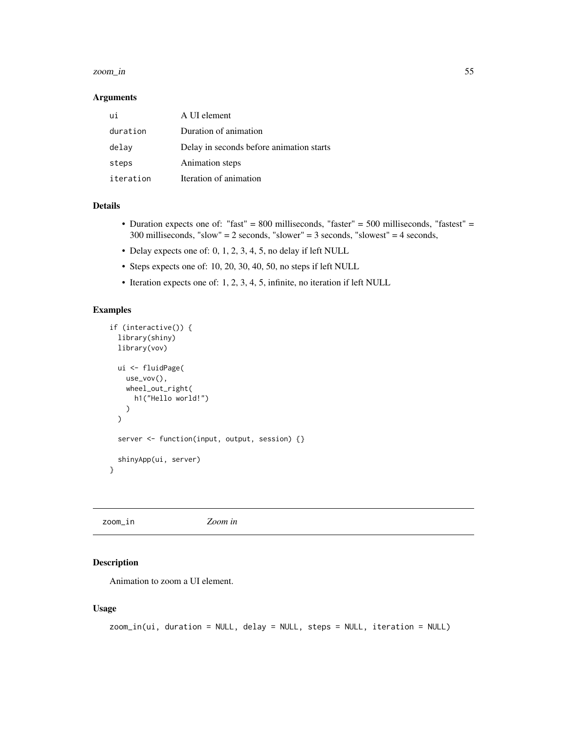#### <span id="page-54-0"></span>zoom\_in 55

#### Arguments

| ui        | A UI element                             |
|-----------|------------------------------------------|
| duration  | Duration of animation                    |
| delay     | Delay in seconds before animation starts |
| steps     | Animation steps                          |
| iteration | Iteration of animation                   |

# Details

- Duration expects one of: "fast" = 800 milliseconds, "faster" = 500 milliseconds, "fastest" = 300 milliseconds, "slow" = 2 seconds, "slower" = 3 seconds, "slowest" = 4 seconds,
- Delay expects one of: 0, 1, 2, 3, 4, 5, no delay if left NULL
- Steps expects one of: 10, 20, 30, 40, 50, no steps if left NULL
- Iteration expects one of: 1, 2, 3, 4, 5, infinite, no iteration if left NULL

# Examples

```
if (interactive()) {
  library(shiny)
  library(vov)
  ui <- fluidPage(
    use_vov(),
    wheel_out_right(
      h1("Hello world!")
    \lambda\lambdaserver <- function(input, output, session) {}
  shinyApp(ui, server)
}
```
# Description

Animation to zoom a UI element.

```
zoom_in(ui, duration = NULL, delay = NULL, steps = NULL, iteration = NULL)
```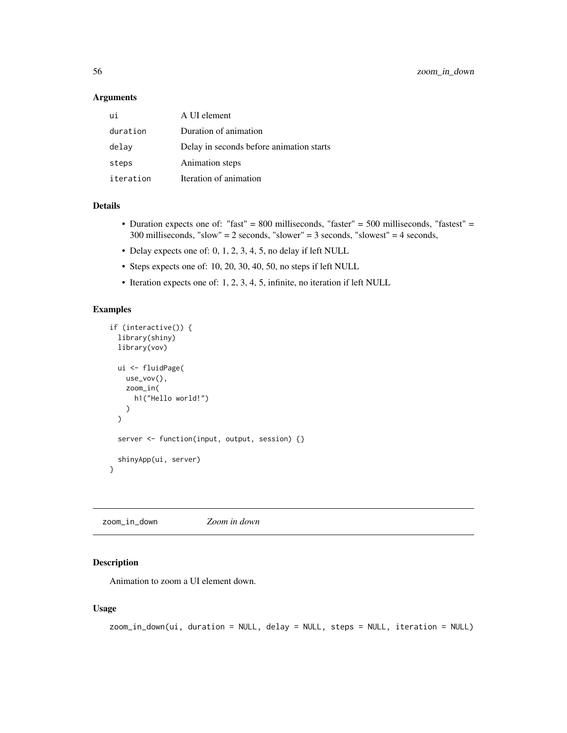### <span id="page-55-0"></span>Arguments

| ui        | A UI element                             |
|-----------|------------------------------------------|
| duration  | Duration of animation                    |
| delay     | Delay in seconds before animation starts |
| steps     | Animation steps                          |
| iteration | Iteration of animation                   |

### Details

- Duration expects one of: "fast" = 800 milliseconds, "faster" = 500 milliseconds, "fastest" = 300 milliseconds, "slow" = 2 seconds, "slower" = 3 seconds, "slowest" = 4 seconds,
- Delay expects one of: 0, 1, 2, 3, 4, 5, no delay if left NULL
- Steps expects one of: 10, 20, 30, 40, 50, no steps if left NULL
- Iteration expects one of: 1, 2, 3, 4, 5, infinite, no iteration if left NULL

# Examples

```
if (interactive()) {
 library(shiny)
 library(vov)
 ui <- fluidPage(
   use_vov(),
   zoom_in(
      h1("Hello world!")
   \lambda\lambdaserver <- function(input, output, session) {}
 shinyApp(ui, server)
}
```
zoom\_in\_down *Zoom in down*

#### Description

Animation to zoom a UI element down.

```
zoom_in_down(ui, duration = NULL, delay = NULL, steps = NULL, iteration = NULL)
```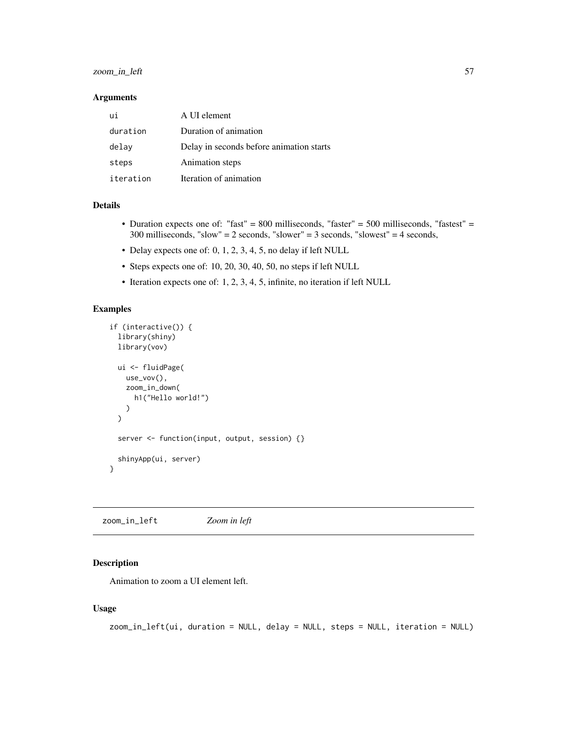# <span id="page-56-0"></span>zoom\_in\_left 57

### Arguments

| ui        | A UI element                             |
|-----------|------------------------------------------|
| duration  | Duration of animation                    |
| delay     | Delay in seconds before animation starts |
| steps     | Animation steps                          |
| iteration | Iteration of animation                   |

# Details

- Duration expects one of: "fast" = 800 milliseconds, "faster" = 500 milliseconds, "fastest" = 300 milliseconds, "slow" = 2 seconds, "slower" = 3 seconds, "slowest" = 4 seconds,
- Delay expects one of: 0, 1, 2, 3, 4, 5, no delay if left NULL
- Steps expects one of: 10, 20, 30, 40, 50, no steps if left NULL
- Iteration expects one of: 1, 2, 3, 4, 5, infinite, no iteration if left NULL

# Examples

```
if (interactive()) {
 library(shiny)
 library(vov)
 ui <- fluidPage(
   use_vov(),
   zoom_in_down(
      h1("Hello world!")
   )
 \lambdaserver <- function(input, output, session) {}
 shinyApp(ui, server)
}
```
zoom\_in\_left *Zoom in left*

#### Description

Animation to zoom a UI element left.

```
zoom_in_left(ui, duration = NULL, delay = NULL, steps = NULL, iteration = NULL)
```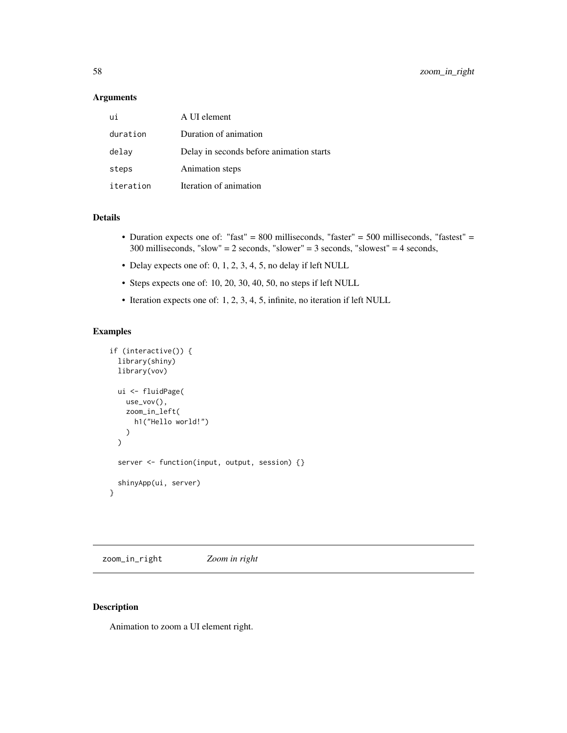#### <span id="page-57-0"></span>Arguments

| ui        | A UI element                             |
|-----------|------------------------------------------|
| duration  | Duration of animation                    |
| delay     | Delay in seconds before animation starts |
| steps     | Animation steps                          |
| iteration | Iteration of animation                   |

#### Details

- Duration expects one of: "fast" = 800 milliseconds, "faster" = 500 milliseconds, "fastest" = 300 milliseconds, "slow" = 2 seconds, "slower" = 3 seconds, "slowest" = 4 seconds,
- Delay expects one of: 0, 1, 2, 3, 4, 5, no delay if left NULL
- Steps expects one of: 10, 20, 30, 40, 50, no steps if left NULL
- Iteration expects one of: 1, 2, 3, 4, 5, infinite, no iteration if left NULL

#### Examples

```
if (interactive()) {
 library(shiny)
 library(vov)
 ui <- fluidPage(
   use_vov(),
   zoom_in_left(
     h1("Hello world!")
   )
 \lambdaserver <- function(input, output, session) {}
 shinyApp(ui, server)
}
```
zoom\_in\_right *Zoom in right*

## Description

Animation to zoom a UI element right.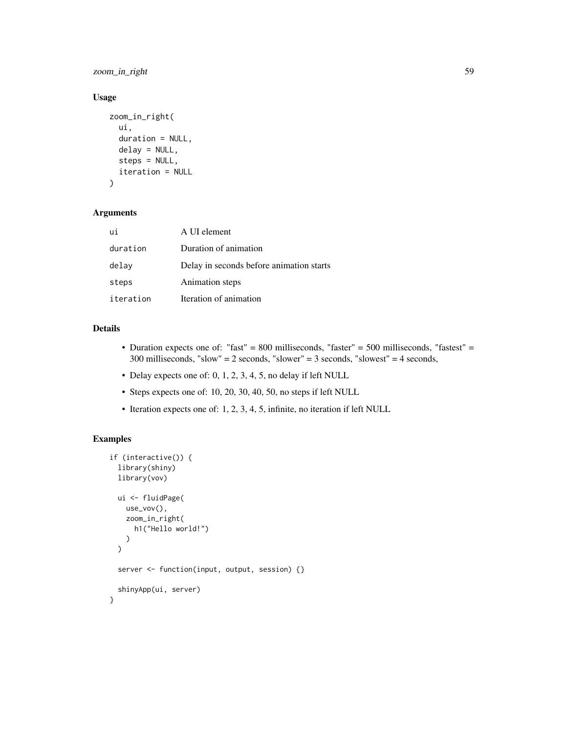zoom\_in\_right 59

### Usage

```
zoom_in_right(
  ui,
  duration = NULL,
  delay = NULL,
  steps = NULL,
  iteration = NULL
)
```
# Arguments

| ui        | A UI element                             |
|-----------|------------------------------------------|
| duration  | Duration of animation                    |
| delay     | Delay in seconds before animation starts |
| steps     | Animation steps                          |
| iteration | Iteration of animation                   |

# Details

- Duration expects one of: "fast" = 800 milliseconds, "faster" = 500 milliseconds, "fastest" = 300 milliseconds, "slow" = 2 seconds, "slower" = 3 seconds, "slowest" = 4 seconds,
- Delay expects one of: 0, 1, 2, 3, 4, 5, no delay if left NULL
- Steps expects one of: 10, 20, 30, 40, 50, no steps if left NULL
- Iteration expects one of: 1, 2, 3, 4, 5, infinite, no iteration if left NULL

```
if (interactive()) {
 library(shiny)
 library(vov)
 ui <- fluidPage(
   use_vov(),
   zoom_in_right(
      h1("Hello world!")
   )
 \mathcal{L}server <- function(input, output, session) {}
 shinyApp(ui, server)
}
```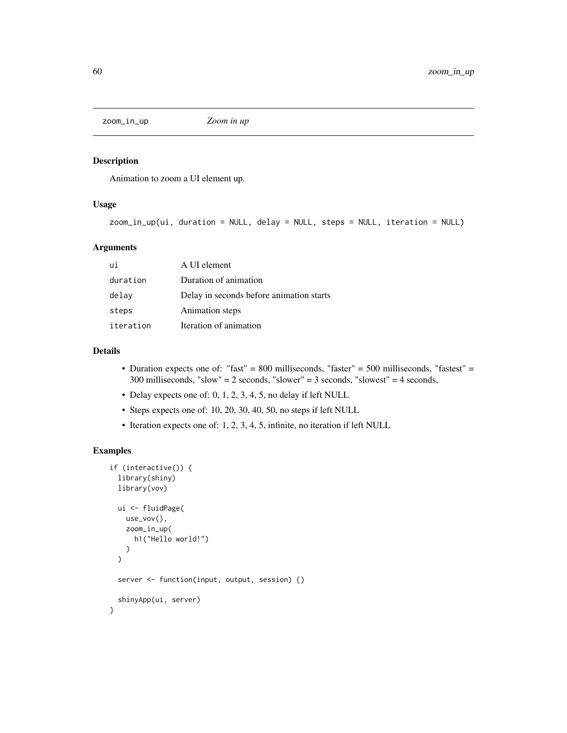<span id="page-59-0"></span>zoom\_in\_up *Zoom in up*

#### Description

Animation to zoom a UI element up.

# Usage

```
zoom_in_up(ui, duration = NULL, delay = NULL, steps = NULL, iteration = NULL)
```
# Arguments

| ui        | A UI element                             |
|-----------|------------------------------------------|
| duration  | Duration of animation                    |
| delay     | Delay in seconds before animation starts |
| steps     | Animation steps                          |
| iteration | Iteration of animation                   |

# Details

- Duration expects one of: "fast" = 800 milliseconds, "faster" = 500 milliseconds, "fastest" = 300 milliseconds, "slow" = 2 seconds, "slower" = 3 seconds, "slowest" = 4 seconds,
- Delay expects one of: 0, 1, 2, 3, 4, 5, no delay if left NULL
- Steps expects one of: 10, 20, 30, 40, 50, no steps if left NULL
- Iteration expects one of: 1, 2, 3, 4, 5, infinite, no iteration if left NULL

```
if (interactive()) {
 library(shiny)
 library(vov)
 ui <- fluidPage(
   use_vov(),
   zoom_in_up(
     h1("Hello world!")
   )
 \lambdaserver <- function(input, output, session) {}
 shinyApp(ui, server)
}
```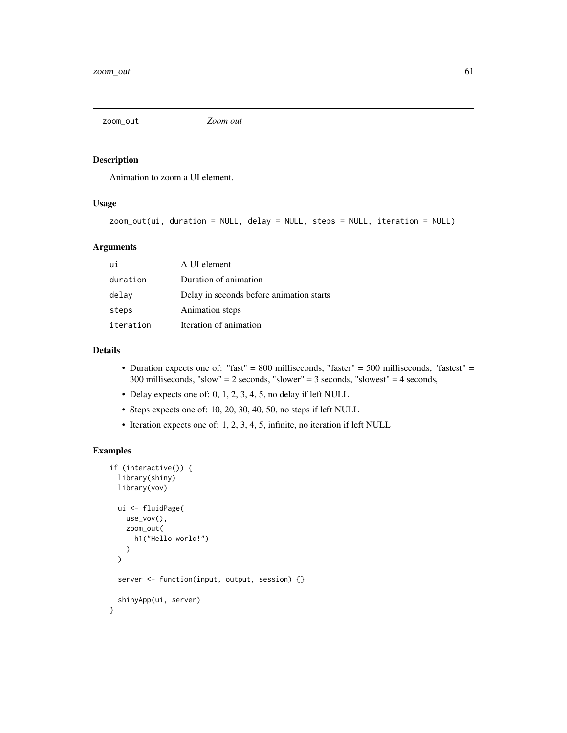<span id="page-60-0"></span>

#### Description

Animation to zoom a UI element.

# Usage

```
zoom_out(ui, duration = NULL, delay = NULL, steps = NULL, iteration = NULL)
```
#### Arguments

| ui        | A UI element                             |
|-----------|------------------------------------------|
| duration  | Duration of animation                    |
| delay     | Delay in seconds before animation starts |
| steps     | Animation steps                          |
| iteration | Iteration of animation                   |

# Details

- Duration expects one of: "fast" = 800 milliseconds, "faster" = 500 milliseconds, "fastest" = 300 milliseconds, "slow" = 2 seconds, "slower" = 3 seconds, "slowest" = 4 seconds,
- Delay expects one of: 0, 1, 2, 3, 4, 5, no delay if left NULL
- Steps expects one of: 10, 20, 30, 40, 50, no steps if left NULL
- Iteration expects one of: 1, 2, 3, 4, 5, infinite, no iteration if left NULL

```
if (interactive()) {
 library(shiny)
 library(vov)
 ui <- fluidPage(
   use_vov(),
   zoom_out(
     h1("Hello world!")
    )
 \mathcal{L}server <- function(input, output, session) {}
 shinyApp(ui, server)
}
```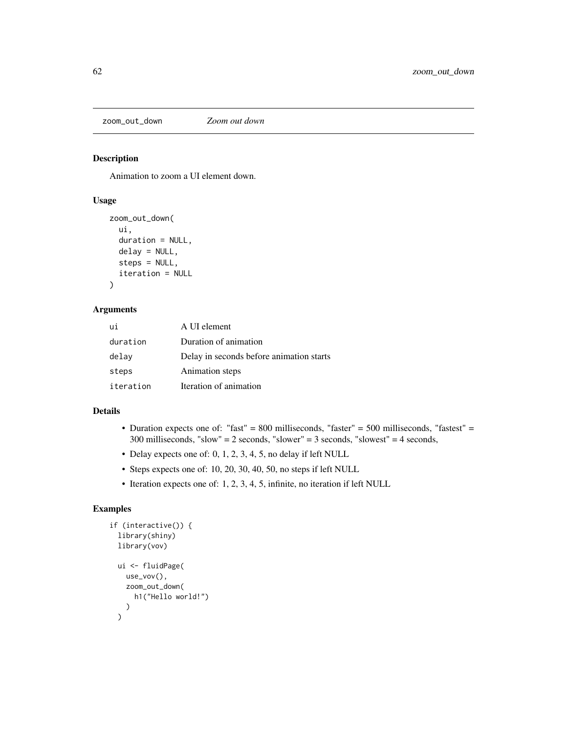<span id="page-61-0"></span>zoom\_out\_down *Zoom out down*

#### Description

Animation to zoom a UI element down.

# Usage

```
zoom_out_down(
  ui,
  duration = NULL,
  delay = NULL,
  steps = NULL,
  iteration = NULL
\mathcal{E}
```
#### Arguments

| ui        | A UI element                             |
|-----------|------------------------------------------|
| duration  | Duration of animation                    |
| delay     | Delay in seconds before animation starts |
| steps     | Animation steps                          |
| iteration | Iteration of animation                   |

#### Details

- Duration expects one of: "fast" = 800 milliseconds, "faster" = 500 milliseconds, "fastest" = 300 milliseconds, "slow" = 2 seconds, "slower" = 3 seconds, "slowest" = 4 seconds,
- Delay expects one of: 0, 1, 2, 3, 4, 5, no delay if left NULL
- Steps expects one of: 10, 20, 30, 40, 50, no steps if left NULL
- Iteration expects one of: 1, 2, 3, 4, 5, infinite, no iteration if left NULL

```
if (interactive()) {
  library(shiny)
  library(vov)
  ui <- fluidPage(
    use_vov(),
    zoom_out_down(
      h1("Hello world!")
    )
  \mathcal{L}
```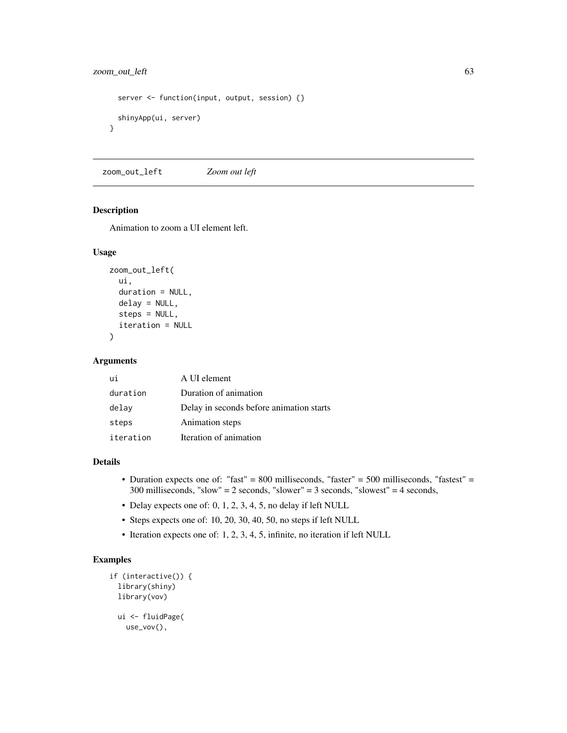# <span id="page-62-0"></span>zoom\_out\_left 63

```
server <- function(input, output, session) {}
 shinyApp(ui, server)
}
```
zoom\_out\_left *Zoom out left*

#### Description

Animation to zoom a UI element left.

#### Usage

```
zoom_out_left(
  ui,
  duration = NULL,
  delay = NULL,steps = NULL,
  iteration = NULL
)
```
#### Arguments

| ui        | A UI element                             |
|-----------|------------------------------------------|
| duration  | Duration of animation                    |
| delay     | Delay in seconds before animation starts |
| steps     | Animation steps                          |
| iteration | Iteration of animation                   |

#### Details

- Duration expects one of: "fast" = 800 milliseconds, "faster" = 500 milliseconds, "fastest" = 300 milliseconds, "slow" = 2 seconds, "slower" = 3 seconds, "slowest" = 4 seconds,
- Delay expects one of: 0, 1, 2, 3, 4, 5, no delay if left NULL
- Steps expects one of: 10, 20, 30, 40, 50, no steps if left NULL
- Iteration expects one of: 1, 2, 3, 4, 5, infinite, no iteration if left NULL

```
if (interactive()) {
 library(shiny)
 library(vov)
 ui <- fluidPage(
   use_vov(),
```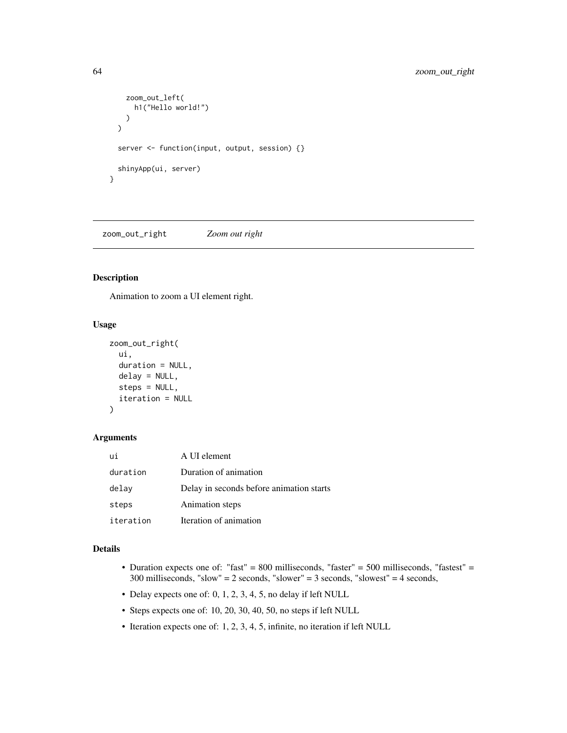```
zoom_out_left(
      h1("Hello world!")
    )
  \mathcal{L}server <- function(input, output, session) {}
  shinyApp(ui, server)
}
```
zoom\_out\_right *Zoom out right*

#### Description

Animation to zoom a UI element right.

#### Usage

```
zoom_out_right(
  ui,
  duration = NULL,
  delay = NULL,
  steps = NULL,
  iteration = NULL
)
```
# Arguments

| ui        | A UI element                             |
|-----------|------------------------------------------|
| duration  | Duration of animation                    |
| delay     | Delay in seconds before animation starts |
| steps     | Animation steps                          |
| iteration | Iteration of animation                   |

#### Details

- Duration expects one of: "fast" = 800 milliseconds, "faster" = 500 milliseconds, "fastest" = 300 milliseconds, "slow" = 2 seconds, "slower" = 3 seconds, "slowest" = 4 seconds,
- Delay expects one of: 0, 1, 2, 3, 4, 5, no delay if left NULL
- Steps expects one of: 10, 20, 30, 40, 50, no steps if left NULL
- Iteration expects one of: 1, 2, 3, 4, 5, infinite, no iteration if left NULL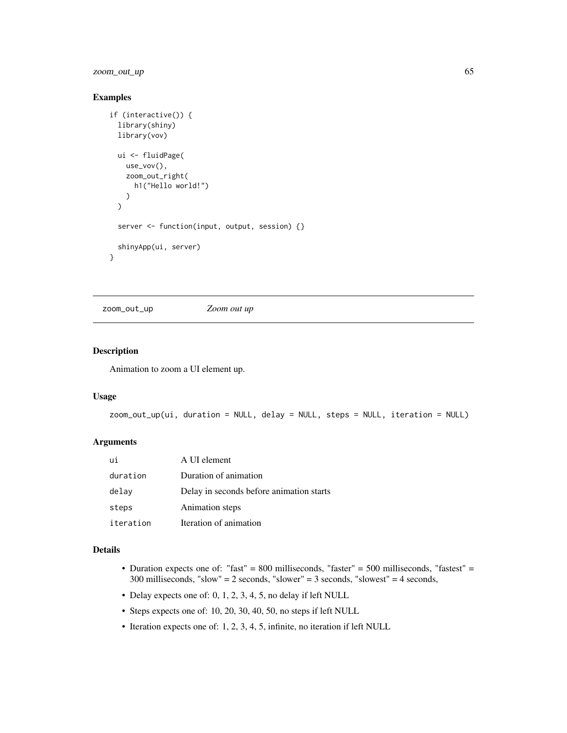<span id="page-64-0"></span>zoom\_out\_up 65

#### Examples

```
if (interactive()) {
 library(shiny)
 library(vov)
 ui <- fluidPage(
   use_vov(),
   zoom_out_right(
     h1("Hello world!")
   )
 \mathcal{L}server <- function(input, output, session) {}
 shinyApp(ui, server)
}
```
zoom\_out\_up *Zoom out up*

# Description

Animation to zoom a UI element up.

#### Usage

```
zoom_out_up(ui, duration = NULL, delay = NULL, steps = NULL, iteration = NULL)
```
#### Arguments

| ui        | A UI element                             |
|-----------|------------------------------------------|
| duration  | Duration of animation                    |
| delay     | Delay in seconds before animation starts |
| steps     | Animation steps                          |
| iteration | Iteration of animation                   |

## Details

- Duration expects one of: "fast" = 800 milliseconds, "faster" = 500 milliseconds, "fastest" = 300 milliseconds, "slow" = 2 seconds, "slower" = 3 seconds, "slowest" = 4 seconds,
- Delay expects one of: 0, 1, 2, 3, 4, 5, no delay if left NULL
- Steps expects one of: 10, 20, 30, 40, 50, no steps if left NULL
- Iteration expects one of: 1, 2, 3, 4, 5, infinite, no iteration if left NULL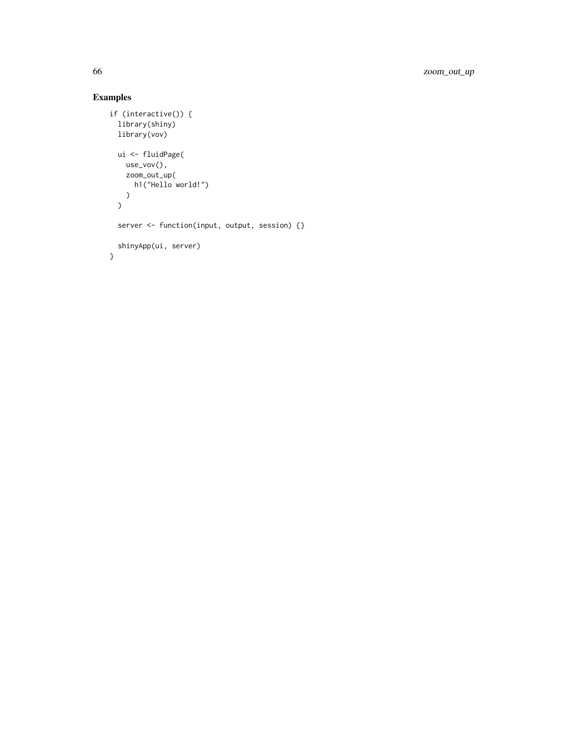```
if (interactive()) {
 library(shiny)
 library(vov)
 ui <- fluidPage(
   use_vov(),
   zoom_out_up(
     h1("Hello world!")
   )
 )
 server <- function(input, output, session) {}
 shinyApp(ui, server)
}
```